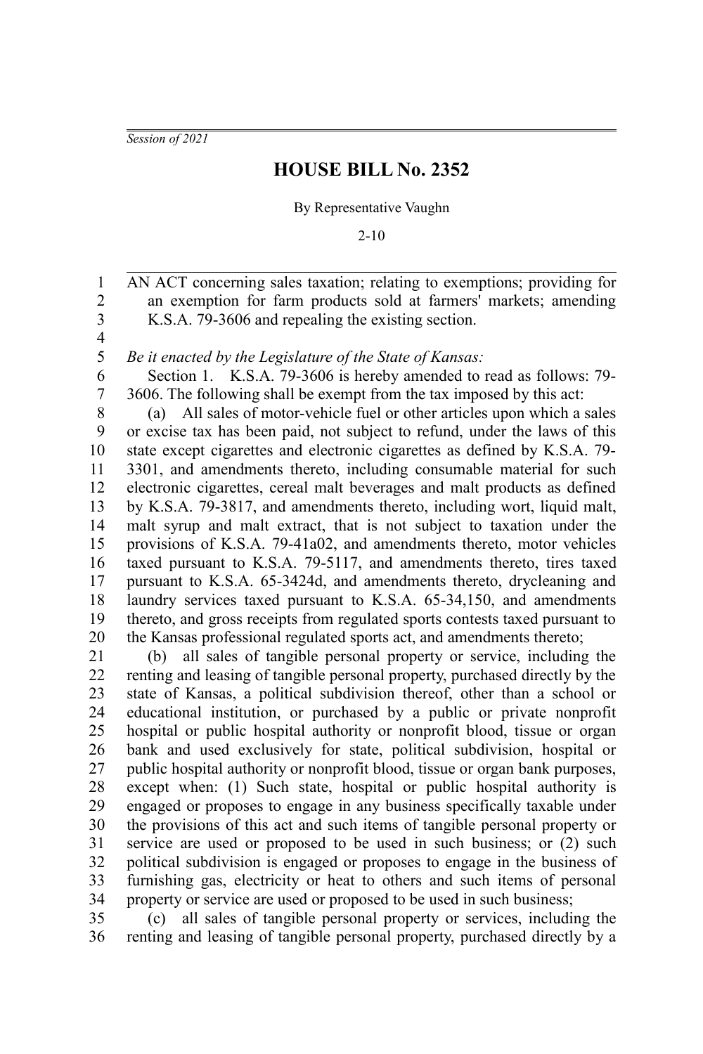*Session of 2021*

## **HOUSE BILL No. 2352**

By Representative Vaughn

2-10

AN ACT concerning sales taxation; relating to exemptions; providing for an exemption for farm products sold at farmers' markets; amending K.S.A. 79-3606 and repealing the existing section. 2 3

4 5

7

1

*Be it enacted by the Legislature of the State of Kansas:*

Section 1. K.S.A. 79-3606 is hereby amended to read as follows: 79- 3606. The following shall be exempt from the tax imposed by this act: 6

(a) All sales of motor-vehicle fuel or other articles upon which a sales or excise tax has been paid, not subject to refund, under the laws of this state except cigarettes and electronic cigarettes as defined by K.S.A. 79- 3301, and amendments thereto, including consumable material for such electronic cigarettes, cereal malt beverages and malt products as defined by K.S.A. 79-3817, and amendments thereto, including wort, liquid malt, malt syrup and malt extract, that is not subject to taxation under the provisions of K.S.A. 79-41a02, and amendments thereto, motor vehicles taxed pursuant to K.S.A. 79-5117, and amendments thereto, tires taxed pursuant to K.S.A. 65-3424d, and amendments thereto, drycleaning and laundry services taxed pursuant to K.S.A. 65-34,150, and amendments thereto, and gross receipts from regulated sports contests taxed pursuant to the Kansas professional regulated sports act, and amendments thereto; 8 9 10 11 12 13 14 15 16 17 18 19 20

(b) all sales of tangible personal property or service, including the renting and leasing of tangible personal property, purchased directly by the state of Kansas, a political subdivision thereof, other than a school or educational institution, or purchased by a public or private nonprofit hospital or public hospital authority or nonprofit blood, tissue or organ bank and used exclusively for state, political subdivision, hospital or public hospital authority or nonprofit blood, tissue or organ bank purposes, except when: (1) Such state, hospital or public hospital authority is engaged or proposes to engage in any business specifically taxable under the provisions of this act and such items of tangible personal property or service are used or proposed to be used in such business; or (2) such political subdivision is engaged or proposes to engage in the business of furnishing gas, electricity or heat to others and such items of personal property or service are used or proposed to be used in such business; 21 22 23 24 25 26 27 28 29 30 31 32 33 34

(c) all sales of tangible personal property or services, including the renting and leasing of tangible personal property, purchased directly by a 35 36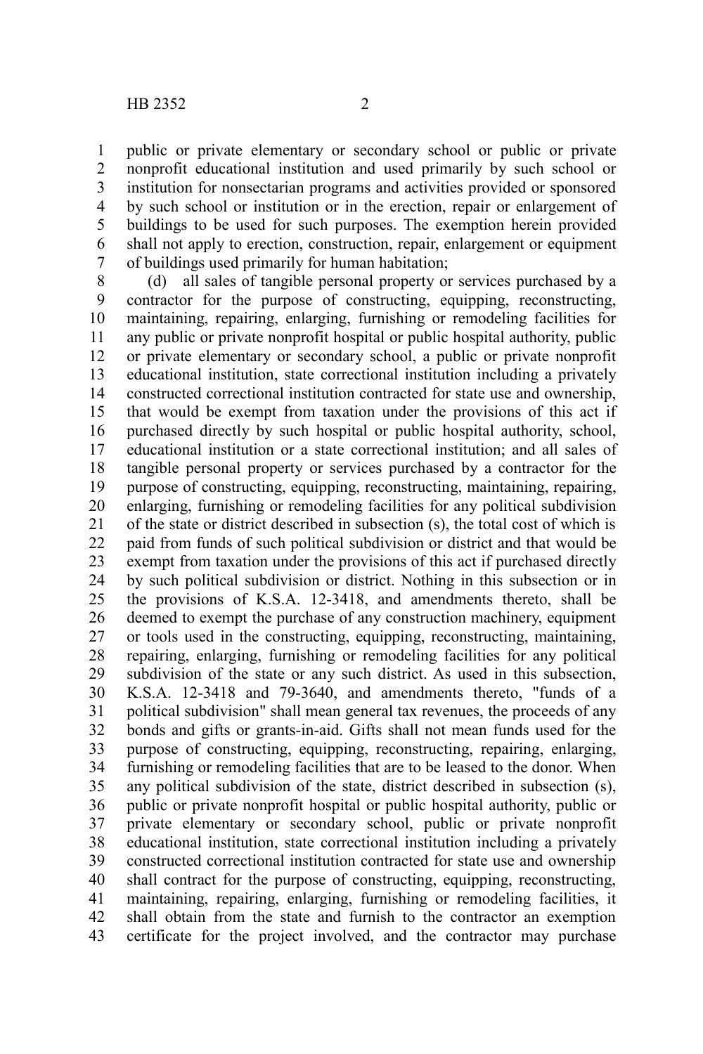public or private elementary or secondary school or public or private nonprofit educational institution and used primarily by such school or institution for nonsectarian programs and activities provided or sponsored by such school or institution or in the erection, repair or enlargement of buildings to be used for such purposes. The exemption herein provided shall not apply to erection, construction, repair, enlargement or equipment of buildings used primarily for human habitation; 1 2 3 4 5 6 7

(d) all sales of tangible personal property or services purchased by a contractor for the purpose of constructing, equipping, reconstructing, maintaining, repairing, enlarging, furnishing or remodeling facilities for any public or private nonprofit hospital or public hospital authority, public or private elementary or secondary school, a public or private nonprofit educational institution, state correctional institution including a privately constructed correctional institution contracted for state use and ownership, that would be exempt from taxation under the provisions of this act if purchased directly by such hospital or public hospital authority, school, educational institution or a state correctional institution; and all sales of tangible personal property or services purchased by a contractor for the purpose of constructing, equipping, reconstructing, maintaining, repairing, enlarging, furnishing or remodeling facilities for any political subdivision of the state or district described in subsection (s), the total cost of which is paid from funds of such political subdivision or district and that would be exempt from taxation under the provisions of this act if purchased directly by such political subdivision or district. Nothing in this subsection or in the provisions of K.S.A. 12-3418, and amendments thereto, shall be deemed to exempt the purchase of any construction machinery, equipment or tools used in the constructing, equipping, reconstructing, maintaining, repairing, enlarging, furnishing or remodeling facilities for any political subdivision of the state or any such district. As used in this subsection, K.S.A. 12-3418 and 79-3640, and amendments thereto, "funds of a political subdivision" shall mean general tax revenues, the proceeds of any bonds and gifts or grants-in-aid. Gifts shall not mean funds used for the purpose of constructing, equipping, reconstructing, repairing, enlarging, furnishing or remodeling facilities that are to be leased to the donor. When any political subdivision of the state, district described in subsection (s), public or private nonprofit hospital or public hospital authority, public or private elementary or secondary school, public or private nonprofit educational institution, state correctional institution including a privately constructed correctional institution contracted for state use and ownership shall contract for the purpose of constructing, equipping, reconstructing, maintaining, repairing, enlarging, furnishing or remodeling facilities, it shall obtain from the state and furnish to the contractor an exemption certificate for the project involved, and the contractor may purchase 8 9 10 11 12 13 14 15 16 17 18 19 20 21 22 23 24 25 26 27 28 29 30 31 32 33 34 35 36 37 38 39 40 41 42 43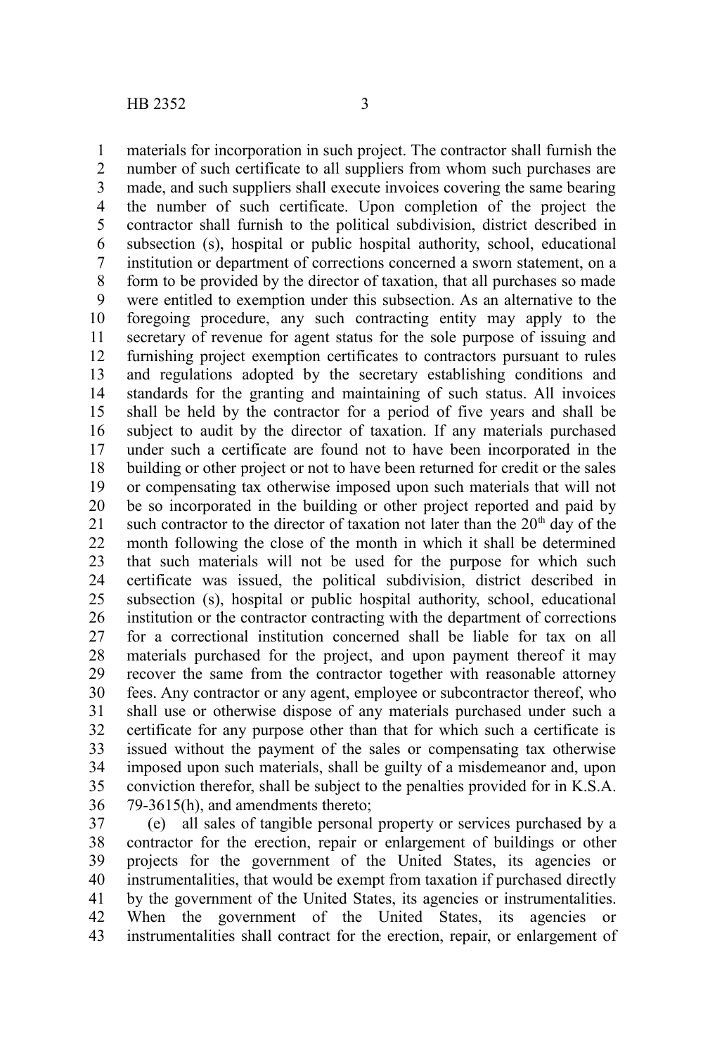materials for incorporation in such project. The contractor shall furnish the number of such certificate to all suppliers from whom such purchases are made, and such suppliers shall execute invoices covering the same bearing the number of such certificate. Upon completion of the project the contractor shall furnish to the political subdivision, district described in subsection (s), hospital or public hospital authority, school, educational institution or department of corrections concerned a sworn statement, on a form to be provided by the director of taxation, that all purchases so made were entitled to exemption under this subsection. As an alternative to the foregoing procedure, any such contracting entity may apply to the secretary of revenue for agent status for the sole purpose of issuing and furnishing project exemption certificates to contractors pursuant to rules and regulations adopted by the secretary establishing conditions and standards for the granting and maintaining of such status. All invoices shall be held by the contractor for a period of five years and shall be subject to audit by the director of taxation. If any materials purchased under such a certificate are found not to have been incorporated in the building or other project or not to have been returned for credit or the sales or compensating tax otherwise imposed upon such materials that will not be so incorporated in the building or other project reported and paid by such contractor to the director of taxation not later than the  $20<sup>th</sup>$  day of the month following the close of the month in which it shall be determined that such materials will not be used for the purpose for which such certificate was issued, the political subdivision, district described in subsection (s), hospital or public hospital authority, school, educational institution or the contractor contracting with the department of corrections for a correctional institution concerned shall be liable for tax on all materials purchased for the project, and upon payment thereof it may recover the same from the contractor together with reasonable attorney fees. Any contractor or any agent, employee or subcontractor thereof, who shall use or otherwise dispose of any materials purchased under such a certificate for any purpose other than that for which such a certificate is issued without the payment of the sales or compensating tax otherwise imposed upon such materials, shall be guilty of a misdemeanor and, upon conviction therefor, shall be subject to the penalties provided for in K.S.A. 79-3615(h), and amendments thereto; 1 2 3 4 5 6 7 8 9 10 11 12 13 14 15 16 17 18 19 20 21 22 23 24 25 26 27 28 29 30 31 32 33 34 35 36

(e) all sales of tangible personal property or services purchased by a contractor for the erection, repair or enlargement of buildings or other projects for the government of the United States, its agencies or instrumentalities, that would be exempt from taxation if purchased directly by the government of the United States, its agencies or instrumentalities. When the government of the United States, its agencies or instrumentalities shall contract for the erection, repair, or enlargement of 37 38 39 40 41 42 43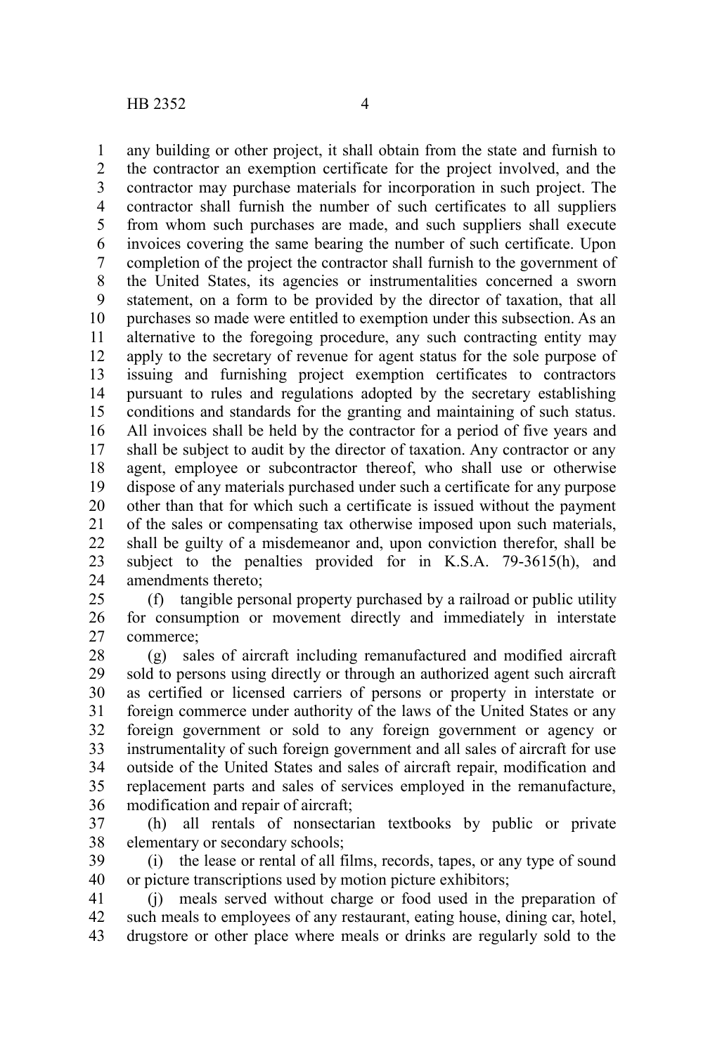any building or other project, it shall obtain from the state and furnish to the contractor an exemption certificate for the project involved, and the contractor may purchase materials for incorporation in such project. The contractor shall furnish the number of such certificates to all suppliers from whom such purchases are made, and such suppliers shall execute invoices covering the same bearing the number of such certificate. Upon completion of the project the contractor shall furnish to the government of the United States, its agencies or instrumentalities concerned a sworn statement, on a form to be provided by the director of taxation, that all purchases so made were entitled to exemption under this subsection. As an alternative to the foregoing procedure, any such contracting entity may apply to the secretary of revenue for agent status for the sole purpose of issuing and furnishing project exemption certificates to contractors pursuant to rules and regulations adopted by the secretary establishing conditions and standards for the granting and maintaining of such status. All invoices shall be held by the contractor for a period of five years and shall be subject to audit by the director of taxation. Any contractor or any agent, employee or subcontractor thereof, who shall use or otherwise dispose of any materials purchased under such a certificate for any purpose other than that for which such a certificate is issued without the payment of the sales or compensating tax otherwise imposed upon such materials, shall be guilty of a misdemeanor and, upon conviction therefor, shall be subject to the penalties provided for in K.S.A. 79-3615(h), and amendments thereto; 1 2 3 4 5 6 7 8 9 10 11 12 13 14 15 16 17 18 19 20 21 22 23 24

(f) tangible personal property purchased by a railroad or public utility for consumption or movement directly and immediately in interstate commerce; 25 26 27

(g) sales of aircraft including remanufactured and modified aircraft sold to persons using directly or through an authorized agent such aircraft as certified or licensed carriers of persons or property in interstate or foreign commerce under authority of the laws of the United States or any foreign government or sold to any foreign government or agency or instrumentality of such foreign government and all sales of aircraft for use outside of the United States and sales of aircraft repair, modification and replacement parts and sales of services employed in the remanufacture, modification and repair of aircraft; 28 29 30 31 32 33 34 35 36

(h) all rentals of nonsectarian textbooks by public or private elementary or secondary schools; 37 38

(i) the lease or rental of all films, records, tapes, or any type of sound or picture transcriptions used by motion picture exhibitors; 39 40

(j) meals served without charge or food used in the preparation of such meals to employees of any restaurant, eating house, dining car, hotel, drugstore or other place where meals or drinks are regularly sold to the 41 42 43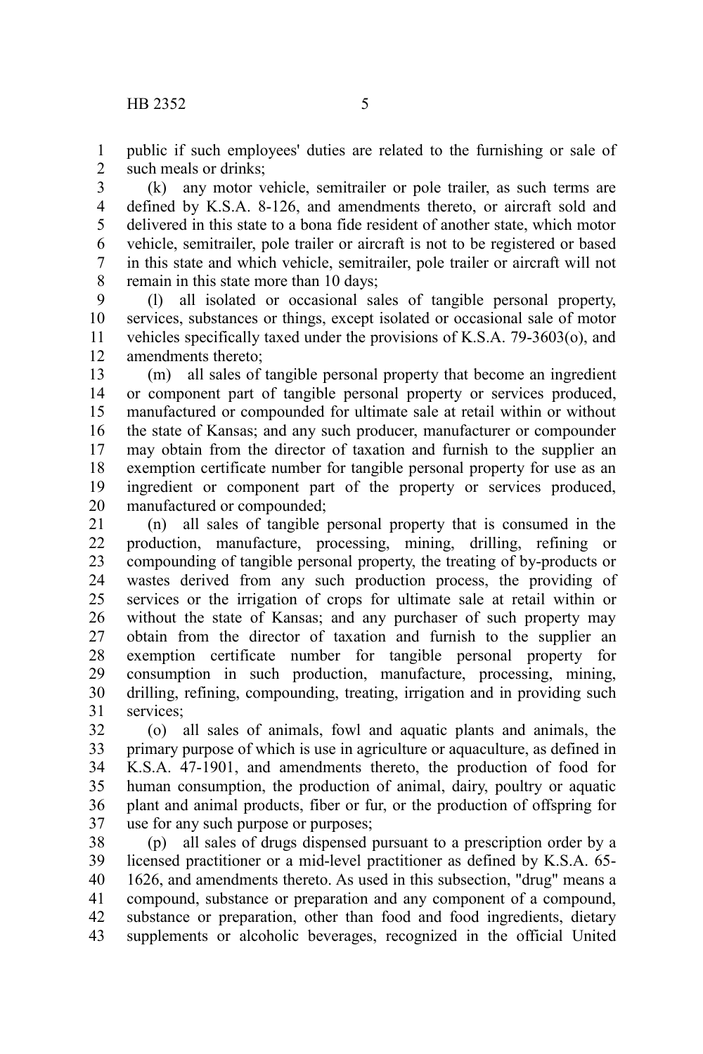public if such employees' duties are related to the furnishing or sale of such meals or drinks; 1 2

(k) any motor vehicle, semitrailer or pole trailer, as such terms are defined by K.S.A. 8-126, and amendments thereto, or aircraft sold and delivered in this state to a bona fide resident of another state, which motor vehicle, semitrailer, pole trailer or aircraft is not to be registered or based in this state and which vehicle, semitrailer, pole trailer or aircraft will not remain in this state more than 10 days; 3 4 5 6 7 8

(l) all isolated or occasional sales of tangible personal property, services, substances or things, except isolated or occasional sale of motor vehicles specifically taxed under the provisions of K.S.A. 79-3603(o), and amendments thereto; 9 10 11 12

(m) all sales of tangible personal property that become an ingredient or component part of tangible personal property or services produced, manufactured or compounded for ultimate sale at retail within or without the state of Kansas; and any such producer, manufacturer or compounder may obtain from the director of taxation and furnish to the supplier an exemption certificate number for tangible personal property for use as an ingredient or component part of the property or services produced, manufactured or compounded; 13 14 15 16 17 18 19 20

(n) all sales of tangible personal property that is consumed in the production, manufacture, processing, mining, drilling, refining or compounding of tangible personal property, the treating of by-products or wastes derived from any such production process, the providing of services or the irrigation of crops for ultimate sale at retail within or without the state of Kansas; and any purchaser of such property may obtain from the director of taxation and furnish to the supplier an exemption certificate number for tangible personal property for consumption in such production, manufacture, processing, mining, drilling, refining, compounding, treating, irrigation and in providing such services; 21 22 23 24 25 26 27 28 29 30 31

(o) all sales of animals, fowl and aquatic plants and animals, the primary purpose of which is use in agriculture or aquaculture, as defined in K.S.A. 47-1901, and amendments thereto, the production of food for human consumption, the production of animal, dairy, poultry or aquatic plant and animal products, fiber or fur, or the production of offspring for use for any such purpose or purposes; 32 33 34 35 36 37

(p) all sales of drugs dispensed pursuant to a prescription order by a licensed practitioner or a mid-level practitioner as defined by K.S.A. 65- 1626, and amendments thereto. As used in this subsection, "drug" means a compound, substance or preparation and any component of a compound, substance or preparation, other than food and food ingredients, dietary supplements or alcoholic beverages, recognized in the official United 38 39 40 41 42 43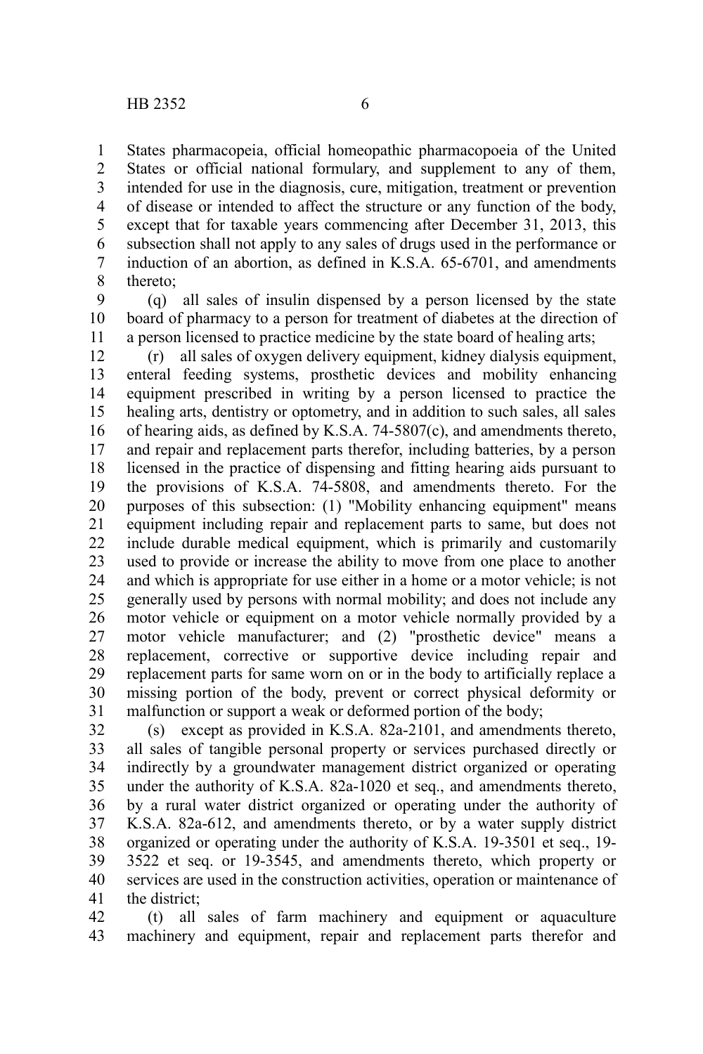States pharmacopeia, official homeopathic pharmacopoeia of the United States or official national formulary, and supplement to any of them, intended for use in the diagnosis, cure, mitigation, treatment or prevention of disease or intended to affect the structure or any function of the body, except that for taxable years commencing after December 31, 2013, this subsection shall not apply to any sales of drugs used in the performance or induction of an abortion, as defined in K.S.A. 65-6701, and amendments thereto; 1 2 3 4 5 6 7 8

(q) all sales of insulin dispensed by a person licensed by the state board of pharmacy to a person for treatment of diabetes at the direction of a person licensed to practice medicine by the state board of healing arts; 9 10 11

(r) all sales of oxygen delivery equipment, kidney dialysis equipment, enteral feeding systems, prosthetic devices and mobility enhancing equipment prescribed in writing by a person licensed to practice the healing arts, dentistry or optometry, and in addition to such sales, all sales of hearing aids, as defined by K.S.A. 74-5807(c), and amendments thereto, and repair and replacement parts therefor, including batteries, by a person licensed in the practice of dispensing and fitting hearing aids pursuant to the provisions of K.S.A. 74-5808, and amendments thereto. For the purposes of this subsection: (1) "Mobility enhancing equipment" means equipment including repair and replacement parts to same, but does not include durable medical equipment, which is primarily and customarily used to provide or increase the ability to move from one place to another and which is appropriate for use either in a home or a motor vehicle; is not generally used by persons with normal mobility; and does not include any motor vehicle or equipment on a motor vehicle normally provided by a motor vehicle manufacturer; and (2) "prosthetic device" means a replacement, corrective or supportive device including repair and replacement parts for same worn on or in the body to artificially replace a missing portion of the body, prevent or correct physical deformity or malfunction or support a weak or deformed portion of the body; 12 13 14 15 16 17 18 19 20 21 22 23 24 25 26 27 28 29 30 31

(s) except as provided in K.S.A. 82a-2101, and amendments thereto, all sales of tangible personal property or services purchased directly or indirectly by a groundwater management district organized or operating under the authority of K.S.A. 82a-1020 et seq., and amendments thereto, by a rural water district organized or operating under the authority of K.S.A. 82a-612, and amendments thereto, or by a water supply district organized or operating under the authority of K.S.A. 19-3501 et seq., 19- 3522 et seq. or 19-3545, and amendments thereto, which property or services are used in the construction activities, operation or maintenance of the district; 32 33 34 35 36 37 38 39 40 41

(t) all sales of farm machinery and equipment or aquaculture machinery and equipment, repair and replacement parts therefor and 42 43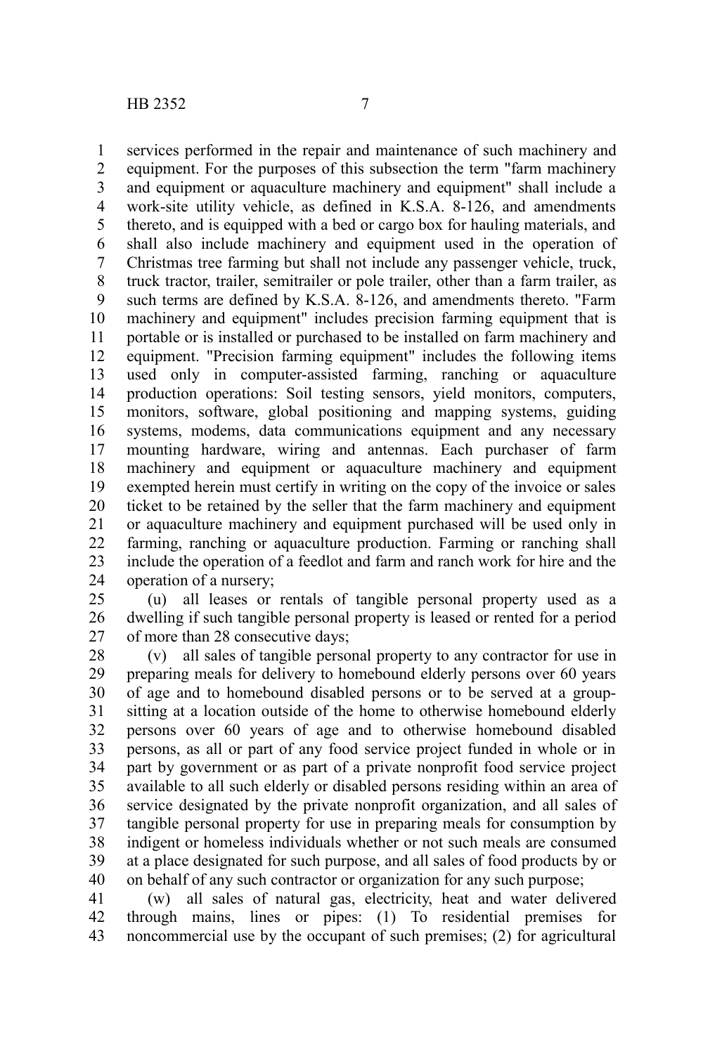services performed in the repair and maintenance of such machinery and equipment. For the purposes of this subsection the term "farm machinery and equipment or aquaculture machinery and equipment" shall include a work-site utility vehicle, as defined in K.S.A. 8-126, and amendments thereto, and is equipped with a bed or cargo box for hauling materials, and shall also include machinery and equipment used in the operation of Christmas tree farming but shall not include any passenger vehicle, truck, truck tractor, trailer, semitrailer or pole trailer, other than a farm trailer, as such terms are defined by K.S.A. 8-126, and amendments thereto. "Farm machinery and equipment" includes precision farming equipment that is portable or is installed or purchased to be installed on farm machinery and equipment. "Precision farming equipment" includes the following items used only in computer-assisted farming, ranching or aquaculture production operations: Soil testing sensors, yield monitors, computers, monitors, software, global positioning and mapping systems, guiding systems, modems, data communications equipment and any necessary mounting hardware, wiring and antennas. Each purchaser of farm machinery and equipment or aquaculture machinery and equipment exempted herein must certify in writing on the copy of the invoice or sales ticket to be retained by the seller that the farm machinery and equipment or aquaculture machinery and equipment purchased will be used only in farming, ranching or aquaculture production. Farming or ranching shall include the operation of a feedlot and farm and ranch work for hire and the operation of a nursery; 1 2 3 4 5 6 7 8 9 10 11 12 13 14 15 16 17 18 19 20 21 22 23 24

(u) all leases or rentals of tangible personal property used as a dwelling if such tangible personal property is leased or rented for a period of more than 28 consecutive days; 25 26 27

(v) all sales of tangible personal property to any contractor for use in preparing meals for delivery to homebound elderly persons over 60 years of age and to homebound disabled persons or to be served at a groupsitting at a location outside of the home to otherwise homebound elderly persons over 60 years of age and to otherwise homebound disabled persons, as all or part of any food service project funded in whole or in part by government or as part of a private nonprofit food service project available to all such elderly or disabled persons residing within an area of service designated by the private nonprofit organization, and all sales of tangible personal property for use in preparing meals for consumption by indigent or homeless individuals whether or not such meals are consumed at a place designated for such purpose, and all sales of food products by or on behalf of any such contractor or organization for any such purpose; 28 29 30 31 32 33 34 35 36 37 38 39 40

(w) all sales of natural gas, electricity, heat and water delivered through mains, lines or pipes: (1) To residential premises for noncommercial use by the occupant of such premises; (2) for agricultural 41 42 43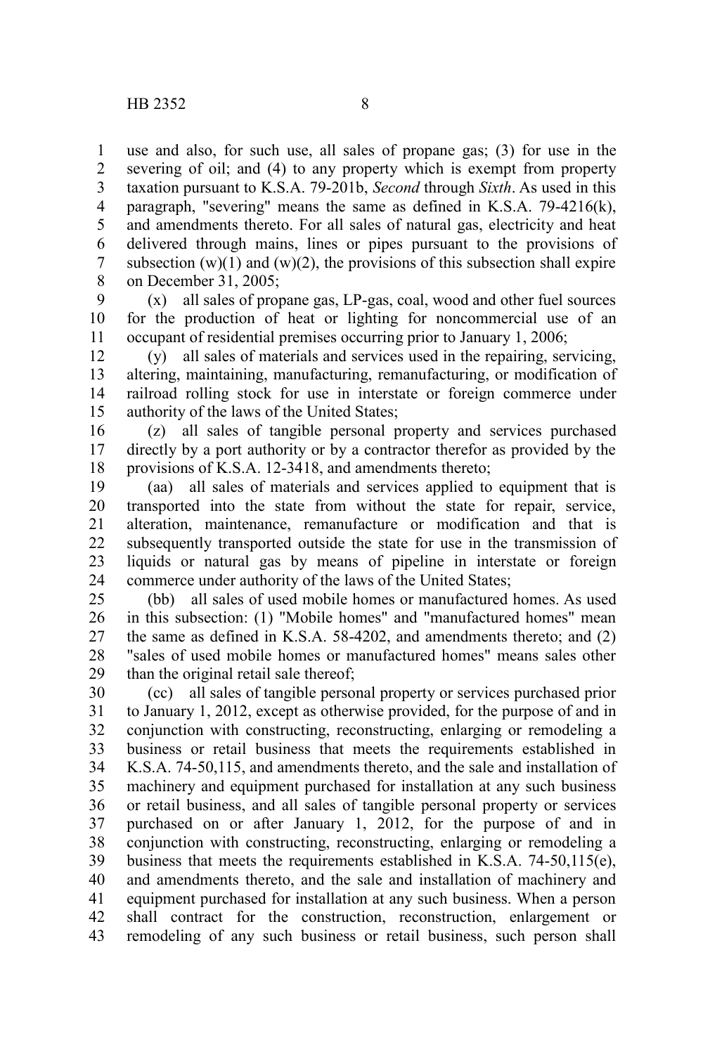use and also, for such use, all sales of propane gas; (3) for use in the severing of oil; and (4) to any property which is exempt from property taxation pursuant to K.S.A. 79-201b, *Second* through *Sixth*. As used in this paragraph, "severing" means the same as defined in K.S.A. 79-4216(k), and amendments thereto. For all sales of natural gas, electricity and heat delivered through mains, lines or pipes pursuant to the provisions of subsection  $(w)(1)$  and  $(w)(2)$ , the provisions of this subsection shall expire on December 31, 2005; 1 2 3 4 5 6 7 8

(x) all sales of propane gas, LP-gas, coal, wood and other fuel sources for the production of heat or lighting for noncommercial use of an occupant of residential premises occurring prior to January 1, 2006; 9 10 11

(y) all sales of materials and services used in the repairing, servicing, altering, maintaining, manufacturing, remanufacturing, or modification of railroad rolling stock for use in interstate or foreign commerce under authority of the laws of the United States; 12 13 14 15

(z) all sales of tangible personal property and services purchased directly by a port authority or by a contractor therefor as provided by the provisions of K.S.A. 12-3418, and amendments thereto; 16 17 18

(aa) all sales of materials and services applied to equipment that is transported into the state from without the state for repair, service, alteration, maintenance, remanufacture or modification and that is subsequently transported outside the state for use in the transmission of liquids or natural gas by means of pipeline in interstate or foreign commerce under authority of the laws of the United States; 19 20 21 22 23 24

(bb) all sales of used mobile homes or manufactured homes. As used in this subsection: (1) "Mobile homes" and "manufactured homes" mean the same as defined in K.S.A. 58-4202, and amendments thereto; and (2) "sales of used mobile homes or manufactured homes" means sales other than the original retail sale thereof; 25 26 27 28 29

(cc) all sales of tangible personal property or services purchased prior to January 1, 2012, except as otherwise provided, for the purpose of and in conjunction with constructing, reconstructing, enlarging or remodeling a business or retail business that meets the requirements established in K.S.A. 74-50,115, and amendments thereto, and the sale and installation of machinery and equipment purchased for installation at any such business or retail business, and all sales of tangible personal property or services purchased on or after January 1, 2012, for the purpose of and in conjunction with constructing, reconstructing, enlarging or remodeling a business that meets the requirements established in K.S.A. 74-50,115(e), and amendments thereto, and the sale and installation of machinery and equipment purchased for installation at any such business. When a person shall contract for the construction, reconstruction, enlargement or remodeling of any such business or retail business, such person shall 30 31 32 33 34 35 36 37 38 39 40 41 42 43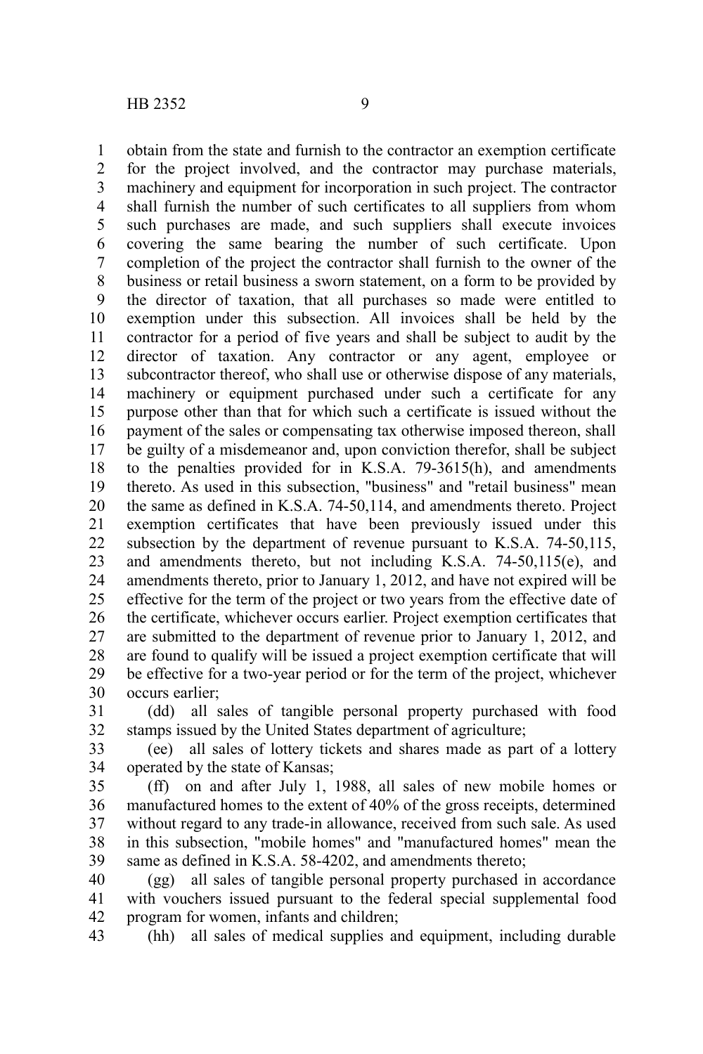obtain from the state and furnish to the contractor an exemption certificate for the project involved, and the contractor may purchase materials, machinery and equipment for incorporation in such project. The contractor shall furnish the number of such certificates to all suppliers from whom such purchases are made, and such suppliers shall execute invoices covering the same bearing the number of such certificate. Upon completion of the project the contractor shall furnish to the owner of the business or retail business a sworn statement, on a form to be provided by the director of taxation, that all purchases so made were entitled to exemption under this subsection. All invoices shall be held by the contractor for a period of five years and shall be subject to audit by the director of taxation. Any contractor or any agent, employee or subcontractor thereof, who shall use or otherwise dispose of any materials, machinery or equipment purchased under such a certificate for any purpose other than that for which such a certificate is issued without the payment of the sales or compensating tax otherwise imposed thereon, shall be guilty of a misdemeanor and, upon conviction therefor, shall be subject to the penalties provided for in K.S.A. 79-3615(h), and amendments thereto. As used in this subsection, "business" and "retail business" mean the same as defined in K.S.A. 74-50,114, and amendments thereto. Project exemption certificates that have been previously issued under this subsection by the department of revenue pursuant to K.S.A. 74-50,115, and amendments thereto, but not including K.S.A. 74-50,115(e), and amendments thereto, prior to January 1, 2012, and have not expired will be effective for the term of the project or two years from the effective date of the certificate, whichever occurs earlier. Project exemption certificates that are submitted to the department of revenue prior to January 1, 2012, and are found to qualify will be issued a project exemption certificate that will be effective for a two-year period or for the term of the project, whichever occurs earlier; 1 2 3 4 5 6 7 8 9 10 11 12 13 14 15 16 17 18 19 20 21 22 23 24 25 26 27 28 29 30

(dd) all sales of tangible personal property purchased with food stamps issued by the United States department of agriculture; 31 32

(ee) all sales of lottery tickets and shares made as part of a lottery operated by the state of Kansas; 33 34

(ff) on and after July 1, 1988, all sales of new mobile homes or manufactured homes to the extent of 40% of the gross receipts, determined without regard to any trade-in allowance, received from such sale. As used in this subsection, "mobile homes" and "manufactured homes" mean the same as defined in K.S.A. 58-4202, and amendments thereto; 35 36 37 38 39

(gg) all sales of tangible personal property purchased in accordance with vouchers issued pursuant to the federal special supplemental food program for women, infants and children; 40 41 42

(hh) all sales of medical supplies and equipment, including durable 43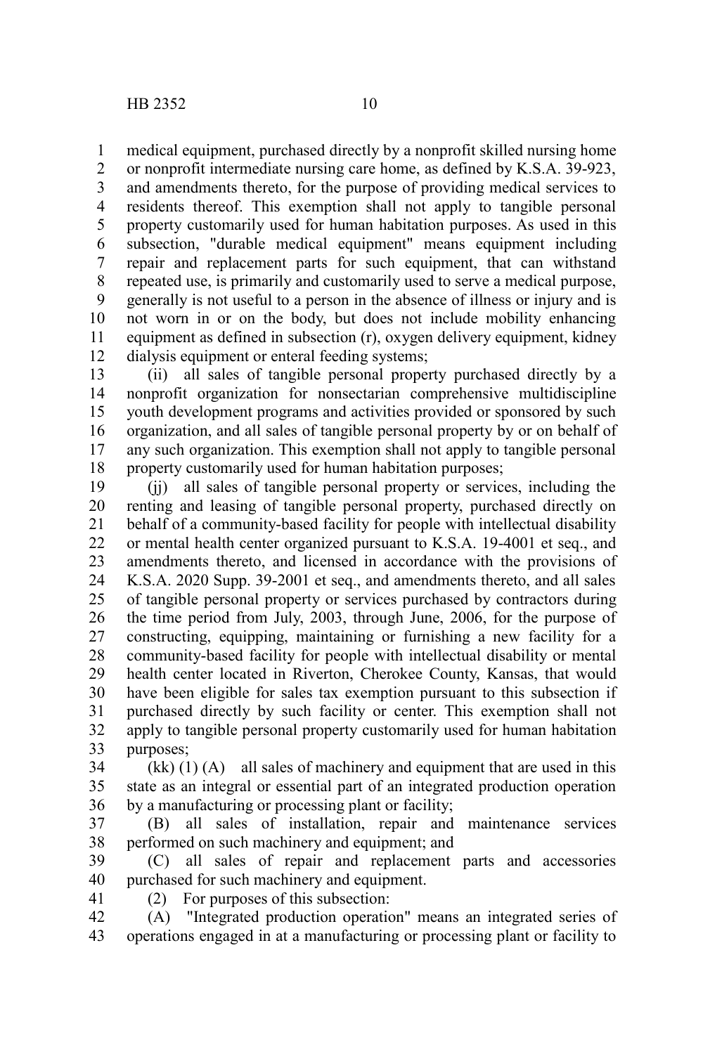medical equipment, purchased directly by a nonprofit skilled nursing home 1

or nonprofit intermediate nursing care home, as defined by K.S.A. 39-923, and amendments thereto, for the purpose of providing medical services to residents thereof. This exemption shall not apply to tangible personal property customarily used for human habitation purposes. As used in this subsection, "durable medical equipment" means equipment including repair and replacement parts for such equipment, that can withstand repeated use, is primarily and customarily used to serve a medical purpose, generally is not useful to a person in the absence of illness or injury and is not worn in or on the body, but does not include mobility enhancing equipment as defined in subsection (r), oxygen delivery equipment, kidney dialysis equipment or enteral feeding systems; 2 3 4 5 6 7 8 9 10 11 12

(ii) all sales of tangible personal property purchased directly by a nonprofit organization for nonsectarian comprehensive multidiscipline youth development programs and activities provided or sponsored by such organization, and all sales of tangible personal property by or on behalf of any such organization. This exemption shall not apply to tangible personal property customarily used for human habitation purposes; 13 14 15 16 17 18

(jj) all sales of tangible personal property or services, including the renting and leasing of tangible personal property, purchased directly on behalf of a community-based facility for people with intellectual disability or mental health center organized pursuant to K.S.A. 19-4001 et seq., and amendments thereto, and licensed in accordance with the provisions of K.S.A. 2020 Supp. 39-2001 et seq., and amendments thereto, and all sales of tangible personal property or services purchased by contractors during the time period from July, 2003, through June, 2006, for the purpose of constructing, equipping, maintaining or furnishing a new facility for a community-based facility for people with intellectual disability or mental health center located in Riverton, Cherokee County, Kansas, that would have been eligible for sales tax exemption pursuant to this subsection if purchased directly by such facility or center. This exemption shall not apply to tangible personal property customarily used for human habitation purposes; 19 20 21 22 23 24 25 26 27 28 29 30 31 32 33

 $(kk)$  (1) (A) all sales of machinery and equipment that are used in this state as an integral or essential part of an integrated production operation by a manufacturing or processing plant or facility; 34 35 36

(B) all sales of installation, repair and maintenance services performed on such machinery and equipment; and 37 38

(C) all sales of repair and replacement parts and accessories purchased for such machinery and equipment. 39 40

41

(2) For purposes of this subsection:

(A) "Integrated production operation" means an integrated series of operations engaged in at a manufacturing or processing plant or facility to 42 43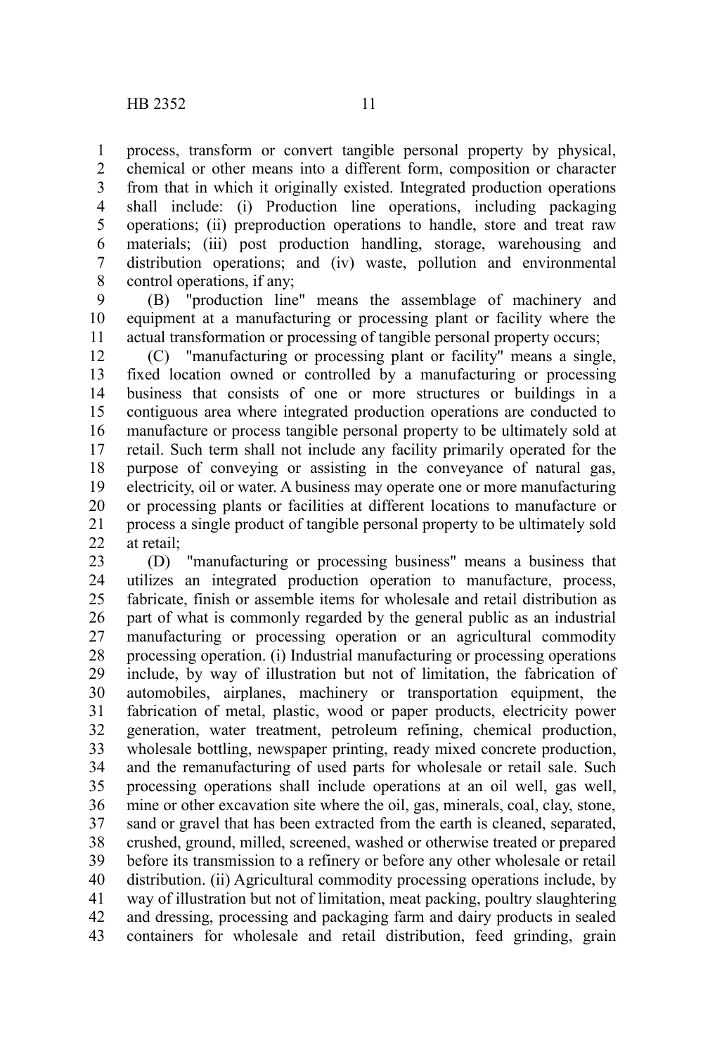process, transform or convert tangible personal property by physical, chemical or other means into a different form, composition or character from that in which it originally existed. Integrated production operations shall include: (i) Production line operations, including packaging operations; (ii) preproduction operations to handle, store and treat raw materials; (iii) post production handling, storage, warehousing and distribution operations; and (iv) waste, pollution and environmental control operations, if any; 1 2 3 4 5 6 7 8

(B) "production line" means the assemblage of machinery and equipment at a manufacturing or processing plant or facility where the actual transformation or processing of tangible personal property occurs; 9 10 11

(C) "manufacturing or processing plant or facility" means a single, fixed location owned or controlled by a manufacturing or processing business that consists of one or more structures or buildings in a contiguous area where integrated production operations are conducted to manufacture or process tangible personal property to be ultimately sold at retail. Such term shall not include any facility primarily operated for the purpose of conveying or assisting in the conveyance of natural gas, electricity, oil or water. A business may operate one or more manufacturing or processing plants or facilities at different locations to manufacture or process a single product of tangible personal property to be ultimately sold at retail; 12 13 14 15 16 17 18 19 20 21 22

(D) "manufacturing or processing business" means a business that utilizes an integrated production operation to manufacture, process, fabricate, finish or assemble items for wholesale and retail distribution as part of what is commonly regarded by the general public as an industrial manufacturing or processing operation or an agricultural commodity processing operation. (i) Industrial manufacturing or processing operations include, by way of illustration but not of limitation, the fabrication of automobiles, airplanes, machinery or transportation equipment, the fabrication of metal, plastic, wood or paper products, electricity power generation, water treatment, petroleum refining, chemical production, wholesale bottling, newspaper printing, ready mixed concrete production, and the remanufacturing of used parts for wholesale or retail sale. Such processing operations shall include operations at an oil well, gas well, mine or other excavation site where the oil, gas, minerals, coal, clay, stone, sand or gravel that has been extracted from the earth is cleaned, separated, crushed, ground, milled, screened, washed or otherwise treated or prepared before its transmission to a refinery or before any other wholesale or retail distribution. (ii) Agricultural commodity processing operations include, by way of illustration but not of limitation, meat packing, poultry slaughtering and dressing, processing and packaging farm and dairy products in sealed containers for wholesale and retail distribution, feed grinding, grain 23 24 25 26 27 28 29 30 31 32 33 34 35 36 37 38 39 40 41 42 43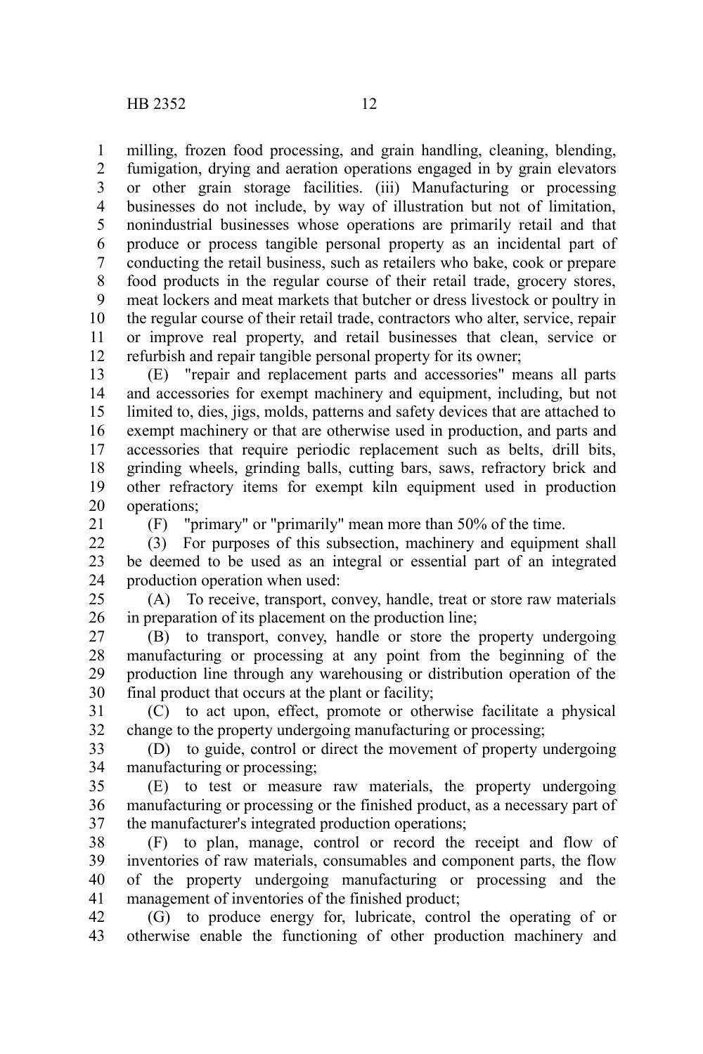milling, frozen food processing, and grain handling, cleaning, blending, fumigation, drying and aeration operations engaged in by grain elevators or other grain storage facilities. (iii) Manufacturing or processing businesses do not include, by way of illustration but not of limitation, nonindustrial businesses whose operations are primarily retail and that produce or process tangible personal property as an incidental part of conducting the retail business, such as retailers who bake, cook or prepare food products in the regular course of their retail trade, grocery stores, meat lockers and meat markets that butcher or dress livestock or poultry in the regular course of their retail trade, contractors who alter, service, repair or improve real property, and retail businesses that clean, service or refurbish and repair tangible personal property for its owner; 1 2 3 4 5 6 7 8 9 10 11 12

(E) "repair and replacement parts and accessories" means all parts and accessories for exempt machinery and equipment, including, but not limited to, dies, jigs, molds, patterns and safety devices that are attached to exempt machinery or that are otherwise used in production, and parts and accessories that require periodic replacement such as belts, drill bits, grinding wheels, grinding balls, cutting bars, saws, refractory brick and other refractory items for exempt kiln equipment used in production operations; 13 14 15 16 17 18 19 20

21

(F) "primary" or "primarily" mean more than 50% of the time.

(3) For purposes of this subsection, machinery and equipment shall be deemed to be used as an integral or essential part of an integrated production operation when used: 22 23 24

(A) To receive, transport, convey, handle, treat or store raw materials in preparation of its placement on the production line; 25 26

(B) to transport, convey, handle or store the property undergoing manufacturing or processing at any point from the beginning of the production line through any warehousing or distribution operation of the final product that occurs at the plant or facility; 27 28 29 30

(C) to act upon, effect, promote or otherwise facilitate a physical change to the property undergoing manufacturing or processing; 31 32

(D) to guide, control or direct the movement of property undergoing manufacturing or processing; 33 34

(E) to test or measure raw materials, the property undergoing manufacturing or processing or the finished product, as a necessary part of the manufacturer's integrated production operations; 35 36 37

(F) to plan, manage, control or record the receipt and flow of inventories of raw materials, consumables and component parts, the flow of the property undergoing manufacturing or processing and the management of inventories of the finished product; 38 39 40 41

(G) to produce energy for, lubricate, control the operating of or otherwise enable the functioning of other production machinery and 42 43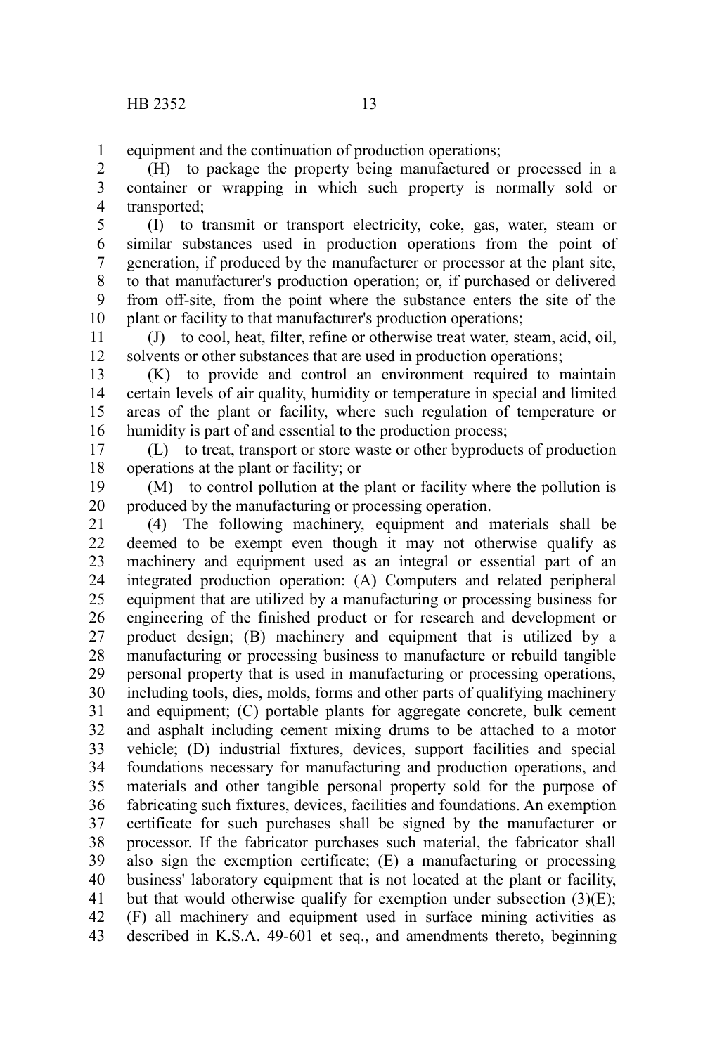equipment and the continuation of production operations; 1

(H) to package the property being manufactured or processed in a container or wrapping in which such property is normally sold or transported; 2 3 4

(I) to transmit or transport electricity, coke, gas, water, steam or similar substances used in production operations from the point of generation, if produced by the manufacturer or processor at the plant site, to that manufacturer's production operation; or, if purchased or delivered from off-site, from the point where the substance enters the site of the plant or facility to that manufacturer's production operations; 5 6 7 8 9 10

(J) to cool, heat, filter, refine or otherwise treat water, steam, acid, oil, solvents or other substances that are used in production operations; 11 12

(K) to provide and control an environment required to maintain certain levels of air quality, humidity or temperature in special and limited areas of the plant or facility, where such regulation of temperature or humidity is part of and essential to the production process; 13 14 15 16

(L) to treat, transport or store waste or other byproducts of production operations at the plant or facility; or 17 18

(M) to control pollution at the plant or facility where the pollution is produced by the manufacturing or processing operation. 19 20

(4) The following machinery, equipment and materials shall be deemed to be exempt even though it may not otherwise qualify as machinery and equipment used as an integral or essential part of an integrated production operation: (A) Computers and related peripheral equipment that are utilized by a manufacturing or processing business for engineering of the finished product or for research and development or product design; (B) machinery and equipment that is utilized by a manufacturing or processing business to manufacture or rebuild tangible personal property that is used in manufacturing or processing operations, including tools, dies, molds, forms and other parts of qualifying machinery and equipment; (C) portable plants for aggregate concrete, bulk cement and asphalt including cement mixing drums to be attached to a motor vehicle; (D) industrial fixtures, devices, support facilities and special foundations necessary for manufacturing and production operations, and materials and other tangible personal property sold for the purpose of fabricating such fixtures, devices, facilities and foundations. An exemption certificate for such purchases shall be signed by the manufacturer or processor. If the fabricator purchases such material, the fabricator shall also sign the exemption certificate; (E) a manufacturing or processing business' laboratory equipment that is not located at the plant or facility, but that would otherwise qualify for exemption under subsection  $(3)(E)$ ; (F) all machinery and equipment used in surface mining activities as described in K.S.A. 49-601 et seq., and amendments thereto, beginning 21 22 23 24 25 26 27 28 29 30 31 32 33 34 35 36 37 38 39 40 41 42 43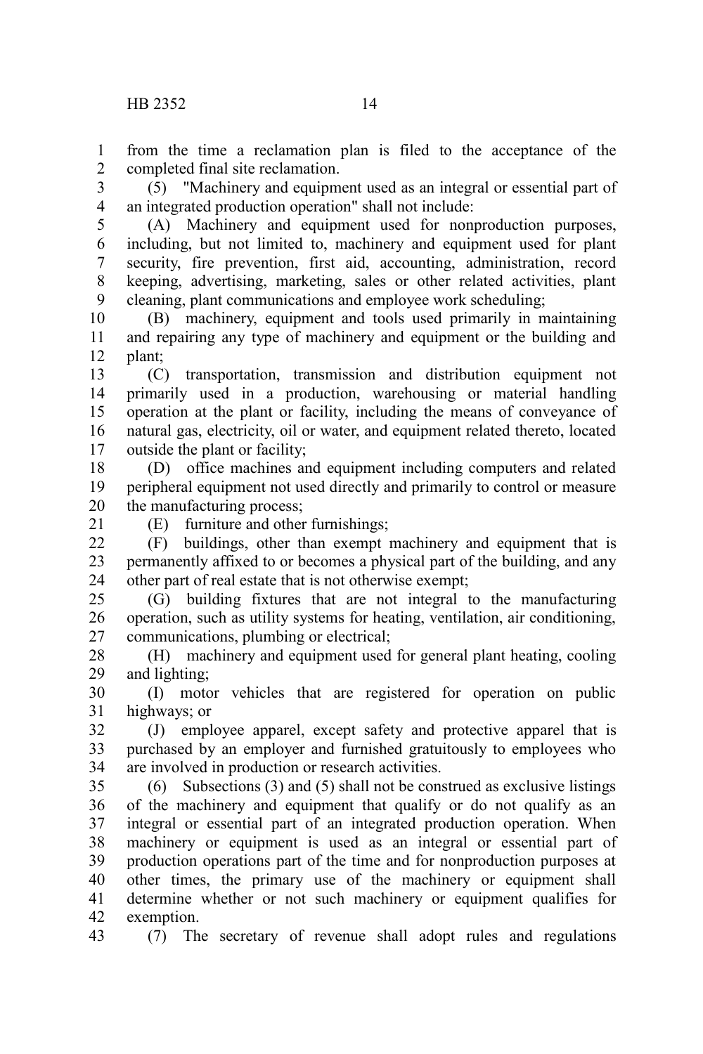from the time a reclamation plan is filed to the acceptance of the completed final site reclamation. 1 2

(5) "Machinery and equipment used as an integral or essential part of an integrated production operation" shall not include: 3 4

(A) Machinery and equipment used for nonproduction purposes, including, but not limited to, machinery and equipment used for plant security, fire prevention, first aid, accounting, administration, record keeping, advertising, marketing, sales or other related activities, plant cleaning, plant communications and employee work scheduling; 5 6 7 8 9

(B) machinery, equipment and tools used primarily in maintaining and repairing any type of machinery and equipment or the building and plant; 10 11 12

(C) transportation, transmission and distribution equipment not primarily used in a production, warehousing or material handling operation at the plant or facility, including the means of conveyance of natural gas, electricity, oil or water, and equipment related thereto, located outside the plant or facility; 13 14 15 16 17

(D) office machines and equipment including computers and related peripheral equipment not used directly and primarily to control or measure the manufacturing process; 18 19 20

21

(E) furniture and other furnishings; (F) buildings, other than exempt machinery and equipment that is permanently affixed to or becomes a physical part of the building, and any  $22$ 23

other part of real estate that is not otherwise exempt; (G) building fixtures that are not integral to the manufacturing 24 25

operation, such as utility systems for heating, ventilation, air conditioning, communications, plumbing or electrical; 26 27

(H) machinery and equipment used for general plant heating, cooling and lighting; 28 29

(I) motor vehicles that are registered for operation on public highways; or 30 31

(J) employee apparel, except safety and protective apparel that is purchased by an employer and furnished gratuitously to employees who are involved in production or research activities. 32 33 34

(6) Subsections (3) and (5) shall not be construed as exclusive listings of the machinery and equipment that qualify or do not qualify as an integral or essential part of an integrated production operation. When machinery or equipment is used as an integral or essential part of production operations part of the time and for nonproduction purposes at other times, the primary use of the machinery or equipment shall determine whether or not such machinery or equipment qualifies for exemption. 35 36 37 38 39 40 41 42

43

(7) The secretary of revenue shall adopt rules and regulations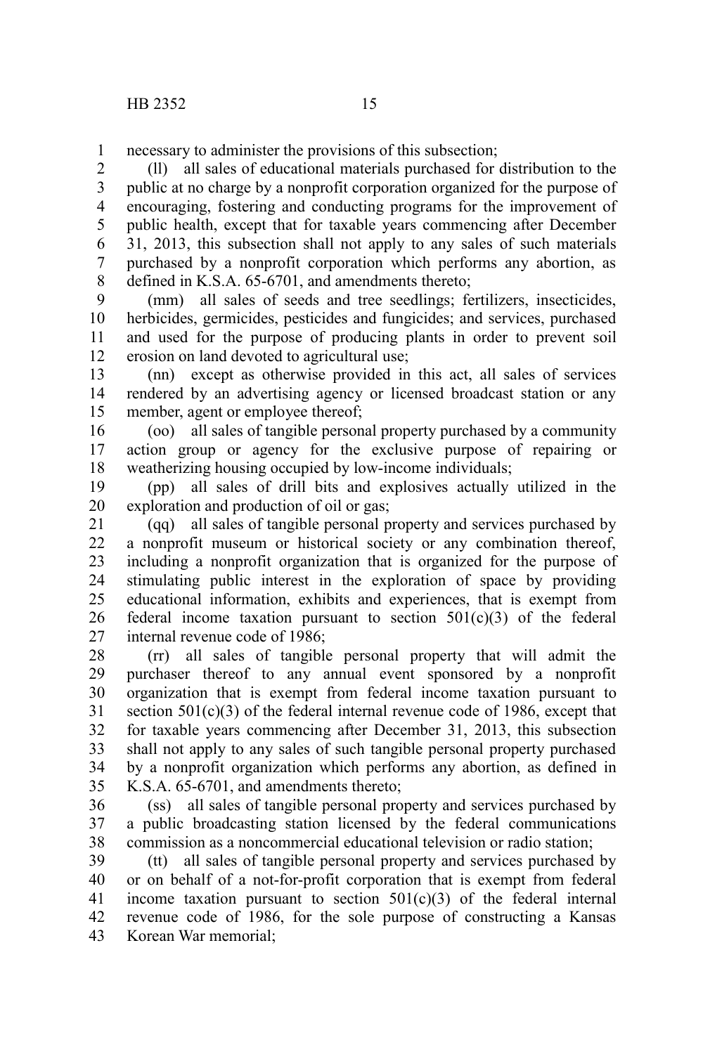necessary to administer the provisions of this subsection; 1

(ll) all sales of educational materials purchased for distribution to the public at no charge by a nonprofit corporation organized for the purpose of encouraging, fostering and conducting programs for the improvement of public health, except that for taxable years commencing after December 31, 2013, this subsection shall not apply to any sales of such materials purchased by a nonprofit corporation which performs any abortion, as defined in K.S.A. 65-6701, and amendments thereto; 2 3 4 5 6 7 8

(mm) all sales of seeds and tree seedlings; fertilizers, insecticides, herbicides, germicides, pesticides and fungicides; and services, purchased and used for the purpose of producing plants in order to prevent soil erosion on land devoted to agricultural use; 9 10 11 12

(nn) except as otherwise provided in this act, all sales of services rendered by an advertising agency or licensed broadcast station or any member, agent or employee thereof; 13 14 15

(oo) all sales of tangible personal property purchased by a community action group or agency for the exclusive purpose of repairing or weatherizing housing occupied by low-income individuals; 16 17 18

(pp) all sales of drill bits and explosives actually utilized in the exploration and production of oil or gas; 19 20

(qq) all sales of tangible personal property and services purchased by a nonprofit museum or historical society or any combination thereof, including a nonprofit organization that is organized for the purpose of stimulating public interest in the exploration of space by providing educational information, exhibits and experiences, that is exempt from federal income taxation pursuant to section  $501(c)(3)$  of the federal internal revenue code of 1986; 21 22 23 24 25 26 27

(rr) all sales of tangible personal property that will admit the purchaser thereof to any annual event sponsored by a nonprofit organization that is exempt from federal income taxation pursuant to section 501(c)(3) of the federal internal revenue code of 1986, except that for taxable years commencing after December 31, 2013, this subsection shall not apply to any sales of such tangible personal property purchased by a nonprofit organization which performs any abortion, as defined in K.S.A. 65-6701, and amendments thereto; 28 29 30 31 32 33 34 35

(ss) all sales of tangible personal property and services purchased by a public broadcasting station licensed by the federal communications commission as a noncommercial educational television or radio station; 36 37 38

(tt) all sales of tangible personal property and services purchased by or on behalf of a not-for-profit corporation that is exempt from federal income taxation pursuant to section  $501(c)(3)$  of the federal internal revenue code of 1986, for the sole purpose of constructing a Kansas Korean War memorial; 39 40 41 42 43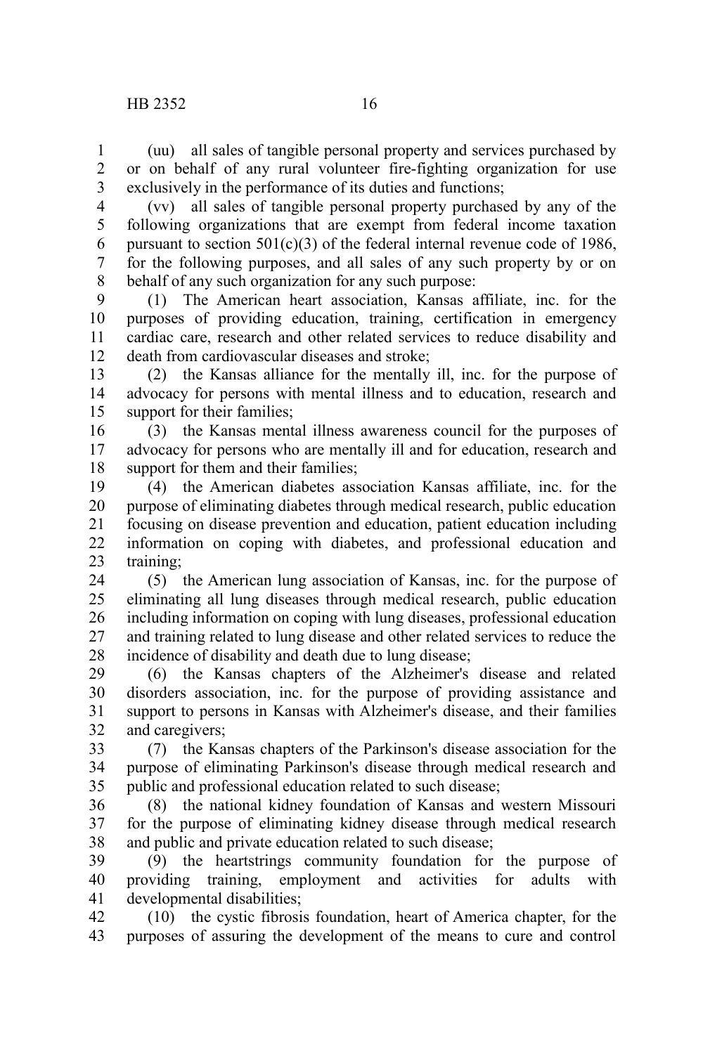(uu) all sales of tangible personal property and services purchased by or on behalf of any rural volunteer fire-fighting organization for use exclusively in the performance of its duties and functions; 1 2 3

(vv) all sales of tangible personal property purchased by any of the following organizations that are exempt from federal income taxation pursuant to section  $501(c)(3)$  of the federal internal revenue code of 1986, for the following purposes, and all sales of any such property by or on behalf of any such organization for any such purpose: 4 5 6 7 8

(1) The American heart association, Kansas affiliate, inc. for the purposes of providing education, training, certification in emergency cardiac care, research and other related services to reduce disability and death from cardiovascular diseases and stroke; 9 10 11 12

(2) the Kansas alliance for the mentally ill, inc. for the purpose of advocacy for persons with mental illness and to education, research and support for their families; 13 14 15

(3) the Kansas mental illness awareness council for the purposes of advocacy for persons who are mentally ill and for education, research and support for them and their families: 16 17 18

(4) the American diabetes association Kansas affiliate, inc. for the purpose of eliminating diabetes through medical research, public education focusing on disease prevention and education, patient education including information on coping with diabetes, and professional education and training; 19 20 21 22 23

(5) the American lung association of Kansas, inc. for the purpose of eliminating all lung diseases through medical research, public education including information on coping with lung diseases, professional education and training related to lung disease and other related services to reduce the incidence of disability and death due to lung disease; 24 25 26 27 28

(6) the Kansas chapters of the Alzheimer's disease and related disorders association, inc. for the purpose of providing assistance and support to persons in Kansas with Alzheimer's disease, and their families and caregivers; 29 30 31 32

(7) the Kansas chapters of the Parkinson's disease association for the purpose of eliminating Parkinson's disease through medical research and public and professional education related to such disease; 33 34 35

(8) the national kidney foundation of Kansas and western Missouri for the purpose of eliminating kidney disease through medical research and public and private education related to such disease; 36 37 38

(9) the heartstrings community foundation for the purpose of providing training, employment and activities for adults with developmental disabilities; 39 40 41

(10) the cystic fibrosis foundation, heart of America chapter, for the purposes of assuring the development of the means to cure and control 42 43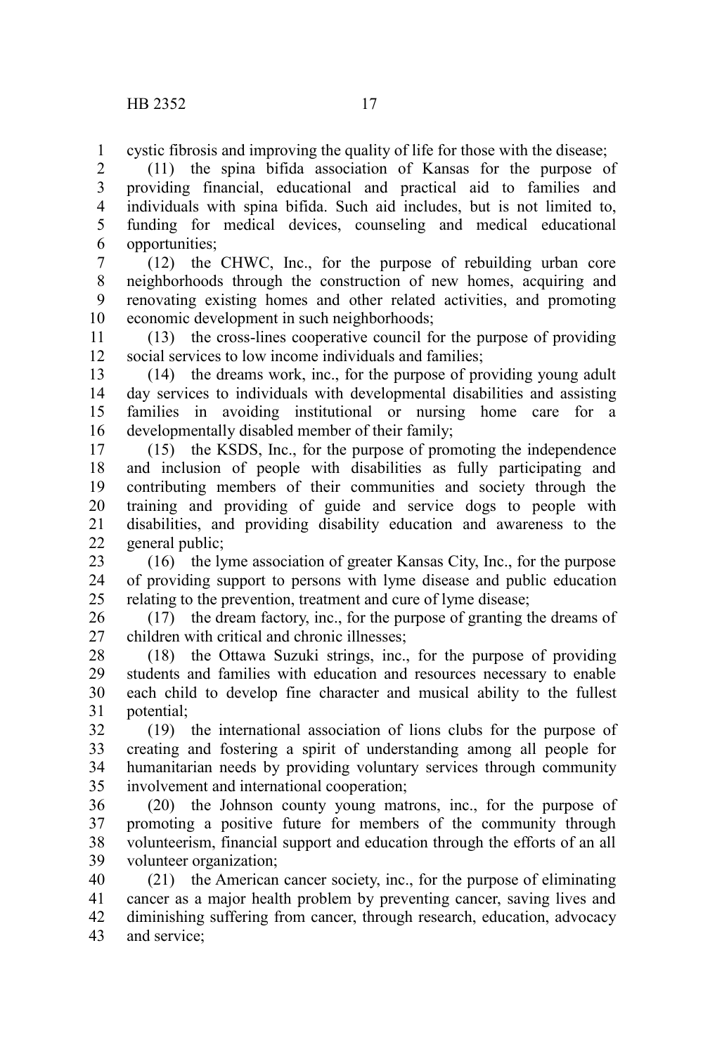cystic fibrosis and improving the quality of life for those with the disease; 1

(11) the spina bifida association of Kansas for the purpose of providing financial, educational and practical aid to families and individuals with spina bifida. Such aid includes, but is not limited to, funding for medical devices, counseling and medical educational opportunities; 2 3 4 5 6

(12) the CHWC, Inc., for the purpose of rebuilding urban core neighborhoods through the construction of new homes, acquiring and renovating existing homes and other related activities, and promoting economic development in such neighborhoods; 7 8 9 10

(13) the cross-lines cooperative council for the purpose of providing social services to low income individuals and families; 11 12

(14) the dreams work, inc., for the purpose of providing young adult day services to individuals with developmental disabilities and assisting families in avoiding institutional or nursing home care for a developmentally disabled member of their family; 13 14 15 16

(15) the KSDS, Inc., for the purpose of promoting the independence and inclusion of people with disabilities as fully participating and contributing members of their communities and society through the training and providing of guide and service dogs to people with disabilities, and providing disability education and awareness to the general public; 17 18 19 20 21 22

(16) the lyme association of greater Kansas City, Inc., for the purpose of providing support to persons with lyme disease and public education relating to the prevention, treatment and cure of lyme disease; 23 24 25

(17) the dream factory, inc., for the purpose of granting the dreams of children with critical and chronic illnesses; 26 27

(18) the Ottawa Suzuki strings, inc., for the purpose of providing students and families with education and resources necessary to enable each child to develop fine character and musical ability to the fullest potential; 28 29 30 31

(19) the international association of lions clubs for the purpose of creating and fostering a spirit of understanding among all people for humanitarian needs by providing voluntary services through community involvement and international cooperation; 32 33 34 35

(20) the Johnson county young matrons, inc., for the purpose of promoting a positive future for members of the community through volunteerism, financial support and education through the efforts of an all volunteer organization; 36 37 38 39

(21) the American cancer society, inc., for the purpose of eliminating cancer as a major health problem by preventing cancer, saving lives and diminishing suffering from cancer, through research, education, advocacy and service; 40 41 42 43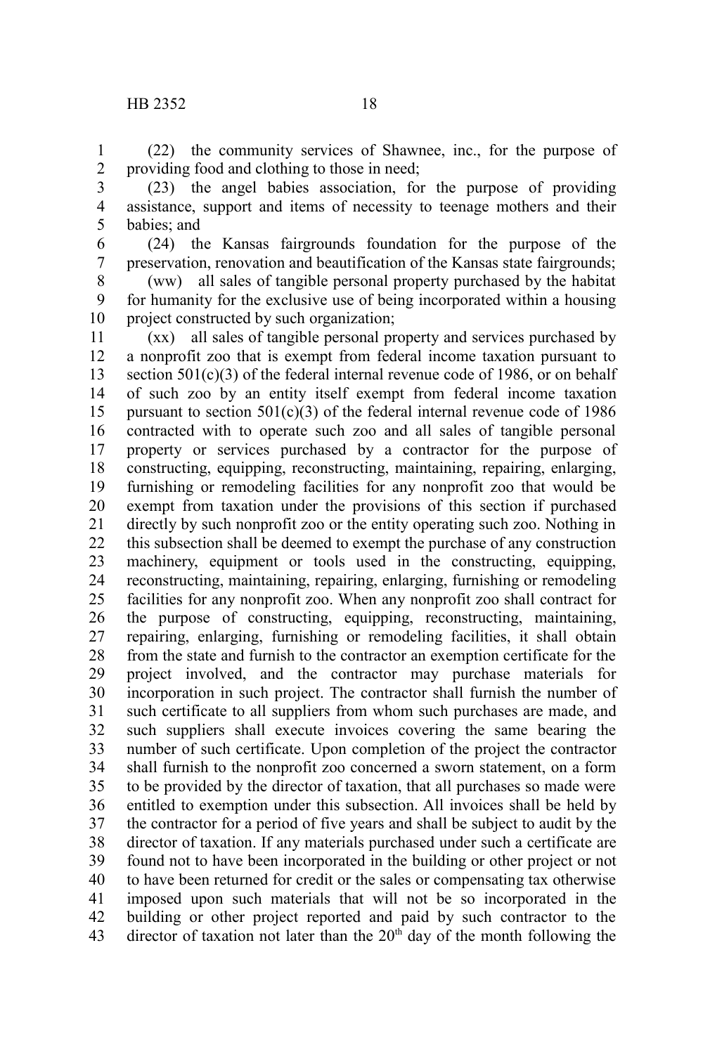(22) the community services of Shawnee, inc., for the purpose of providing food and clothing to those in need; 1 2

- (23) the angel babies association, for the purpose of providing assistance, support and items of necessity to teenage mothers and their babies; and 3 4 5
- (24) the Kansas fairgrounds foundation for the purpose of the preservation, renovation and beautification of the Kansas state fairgrounds; 6 7

(ww) all sales of tangible personal property purchased by the habitat for humanity for the exclusive use of being incorporated within a housing project constructed by such organization; 8 9 10

(xx) all sales of tangible personal property and services purchased by a nonprofit zoo that is exempt from federal income taxation pursuant to section 501(c)(3) of the federal internal revenue code of 1986, or on behalf of such zoo by an entity itself exempt from federal income taxation pursuant to section  $501(c)(3)$  of the federal internal revenue code of 1986 contracted with to operate such zoo and all sales of tangible personal property or services purchased by a contractor for the purpose of constructing, equipping, reconstructing, maintaining, repairing, enlarging, furnishing or remodeling facilities for any nonprofit zoo that would be exempt from taxation under the provisions of this section if purchased directly by such nonprofit zoo or the entity operating such zoo. Nothing in this subsection shall be deemed to exempt the purchase of any construction machinery, equipment or tools used in the constructing, equipping, reconstructing, maintaining, repairing, enlarging, furnishing or remodeling facilities for any nonprofit zoo. When any nonprofit zoo shall contract for the purpose of constructing, equipping, reconstructing, maintaining, repairing, enlarging, furnishing or remodeling facilities, it shall obtain from the state and furnish to the contractor an exemption certificate for the project involved, and the contractor may purchase materials for incorporation in such project. The contractor shall furnish the number of such certificate to all suppliers from whom such purchases are made, and such suppliers shall execute invoices covering the same bearing the number of such certificate. Upon completion of the project the contractor shall furnish to the nonprofit zoo concerned a sworn statement, on a form to be provided by the director of taxation, that all purchases so made were entitled to exemption under this subsection. All invoices shall be held by the contractor for a period of five years and shall be subject to audit by the director of taxation. If any materials purchased under such a certificate are found not to have been incorporated in the building or other project or not to have been returned for credit or the sales or compensating tax otherwise imposed upon such materials that will not be so incorporated in the building or other project reported and paid by such contractor to the director of taxation not later than the  $20<sup>th</sup>$  day of the month following the 11 12 13 14 15 16 17 18 19 20 21 22 23 24 25 26 27 28 29 30 31 32 33 34 35 36 37 38 39 40 41 42 43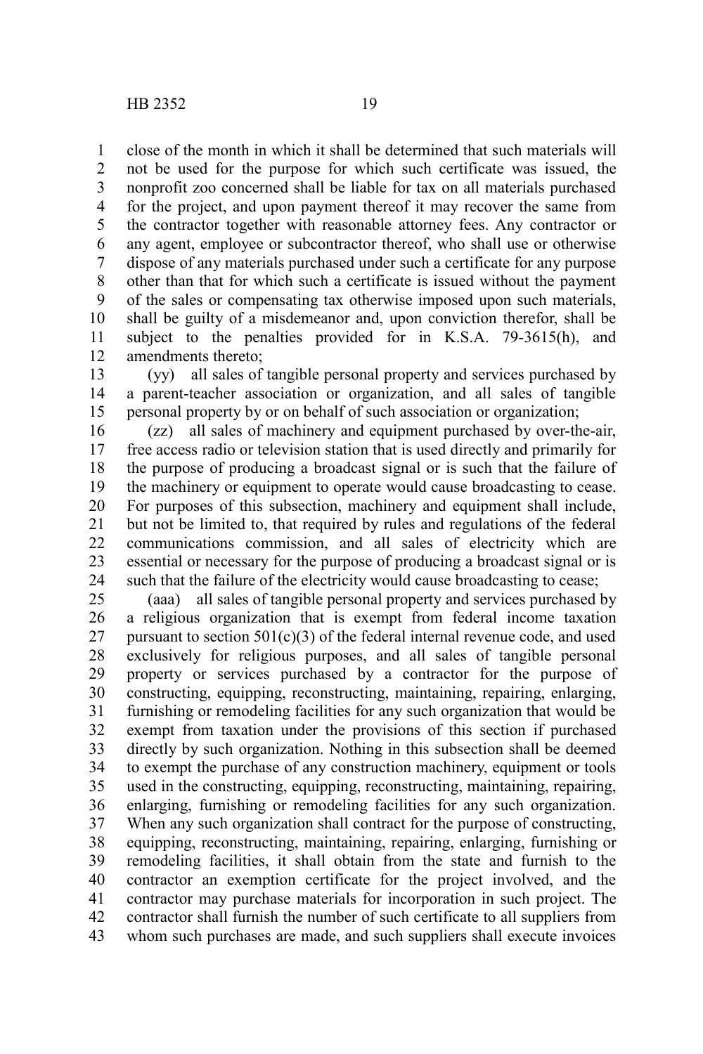close of the month in which it shall be determined that such materials will not be used for the purpose for which such certificate was issued, the nonprofit zoo concerned shall be liable for tax on all materials purchased for the project, and upon payment thereof it may recover the same from the contractor together with reasonable attorney fees. Any contractor or any agent, employee or subcontractor thereof, who shall use or otherwise dispose of any materials purchased under such a certificate for any purpose other than that for which such a certificate is issued without the payment of the sales or compensating tax otherwise imposed upon such materials, shall be guilty of a misdemeanor and, upon conviction therefor, shall be subject to the penalties provided for in K.S.A. 79-3615(h), and amendments thereto; 1 2 3 4 5 6 7 8 9 10 11 12

(yy) all sales of tangible personal property and services purchased by a parent-teacher association or organization, and all sales of tangible personal property by or on behalf of such association or organization; 13 14 15

(zz) all sales of machinery and equipment purchased by over-the-air, free access radio or television station that is used directly and primarily for the purpose of producing a broadcast signal or is such that the failure of the machinery or equipment to operate would cause broadcasting to cease. For purposes of this subsection, machinery and equipment shall include, but not be limited to, that required by rules and regulations of the federal communications commission, and all sales of electricity which are essential or necessary for the purpose of producing a broadcast signal or is such that the failure of the electricity would cause broadcasting to cease; 16 17 18 19 20 21 22 23 24

(aaa) all sales of tangible personal property and services purchased by a religious organization that is exempt from federal income taxation pursuant to section  $501(c)(3)$  of the federal internal revenue code, and used exclusively for religious purposes, and all sales of tangible personal property or services purchased by a contractor for the purpose of constructing, equipping, reconstructing, maintaining, repairing, enlarging, furnishing or remodeling facilities for any such organization that would be exempt from taxation under the provisions of this section if purchased directly by such organization. Nothing in this subsection shall be deemed to exempt the purchase of any construction machinery, equipment or tools used in the constructing, equipping, reconstructing, maintaining, repairing, enlarging, furnishing or remodeling facilities for any such organization. When any such organization shall contract for the purpose of constructing, equipping, reconstructing, maintaining, repairing, enlarging, furnishing or remodeling facilities, it shall obtain from the state and furnish to the contractor an exemption certificate for the project involved, and the contractor may purchase materials for incorporation in such project. The contractor shall furnish the number of such certificate to all suppliers from whom such purchases are made, and such suppliers shall execute invoices 25 26 27 28 29 30 31 32 33 34 35 36 37 38 39 40 41 42 43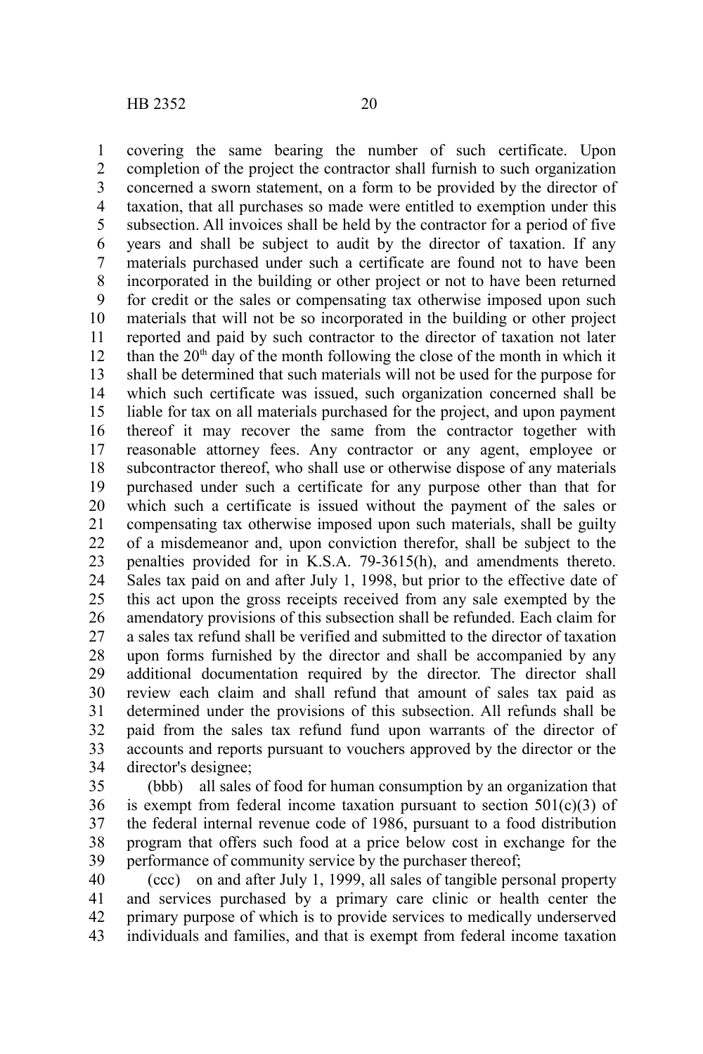covering the same bearing the number of such certificate. Upon completion of the project the contractor shall furnish to such organization concerned a sworn statement, on a form to be provided by the director of taxation, that all purchases so made were entitled to exemption under this subsection. All invoices shall be held by the contractor for a period of five years and shall be subject to audit by the director of taxation. If any materials purchased under such a certificate are found not to have been incorporated in the building or other project or not to have been returned for credit or the sales or compensating tax otherwise imposed upon such materials that will not be so incorporated in the building or other project reported and paid by such contractor to the director of taxation not later than the  $20<sup>th</sup>$  day of the month following the close of the month in which it shall be determined that such materials will not be used for the purpose for which such certificate was issued, such organization concerned shall be liable for tax on all materials purchased for the project, and upon payment thereof it may recover the same from the contractor together with reasonable attorney fees. Any contractor or any agent, employee or subcontractor thereof, who shall use or otherwise dispose of any materials purchased under such a certificate for any purpose other than that for which such a certificate is issued without the payment of the sales or compensating tax otherwise imposed upon such materials, shall be guilty of a misdemeanor and, upon conviction therefor, shall be subject to the penalties provided for in K.S.A. 79-3615(h), and amendments thereto. Sales tax paid on and after July 1, 1998, but prior to the effective date of this act upon the gross receipts received from any sale exempted by the amendatory provisions of this subsection shall be refunded. Each claim for a sales tax refund shall be verified and submitted to the director of taxation upon forms furnished by the director and shall be accompanied by any additional documentation required by the director. The director shall review each claim and shall refund that amount of sales tax paid as determined under the provisions of this subsection. All refunds shall be paid from the sales tax refund fund upon warrants of the director of accounts and reports pursuant to vouchers approved by the director or the director's designee; 1 2 3 4 5 6 7 8 9 10 11 12 13 14 15 16 17 18 19 20 21 22 23 24 25 26 27 28 29 30 31 32 33 34

(bbb) all sales of food for human consumption by an organization that is exempt from federal income taxation pursuant to section  $501(c)(3)$  of the federal internal revenue code of 1986, pursuant to a food distribution program that offers such food at a price below cost in exchange for the performance of community service by the purchaser thereof; 35 36 37 38 39

(ccc) on and after July 1, 1999, all sales of tangible personal property and services purchased by a primary care clinic or health center the primary purpose of which is to provide services to medically underserved individuals and families, and that is exempt from federal income taxation 40 41 42 43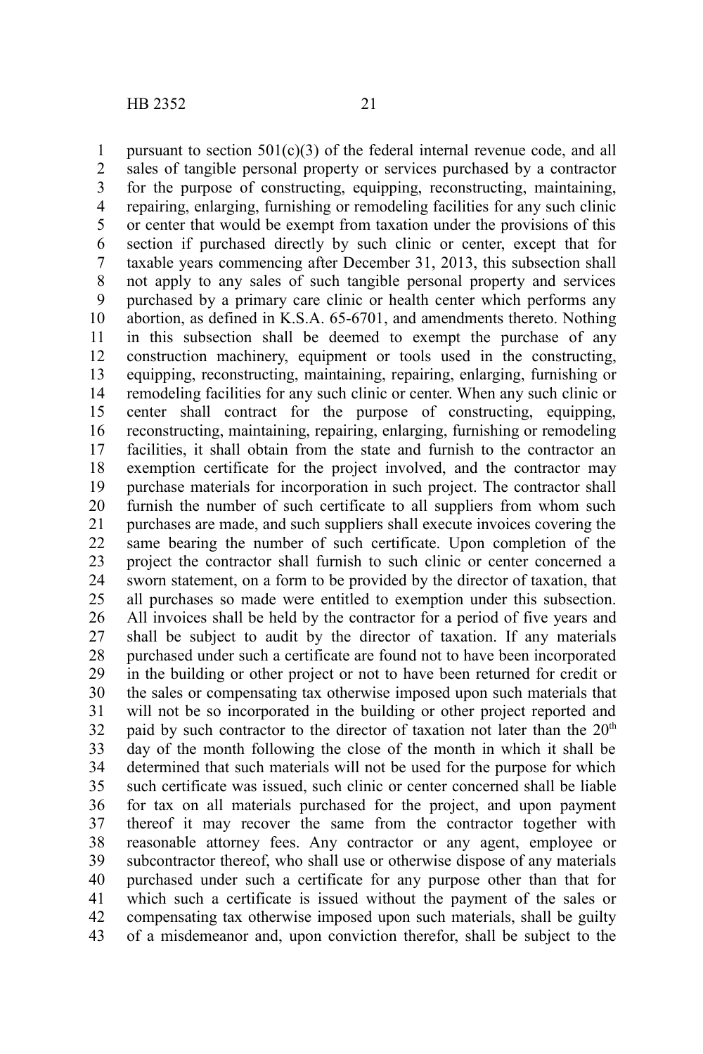pursuant to section  $501(c)(3)$  of the federal internal revenue code, and all sales of tangible personal property or services purchased by a contractor for the purpose of constructing, equipping, reconstructing, maintaining, repairing, enlarging, furnishing or remodeling facilities for any such clinic or center that would be exempt from taxation under the provisions of this section if purchased directly by such clinic or center, except that for taxable years commencing after December 31, 2013, this subsection shall not apply to any sales of such tangible personal property and services purchased by a primary care clinic or health center which performs any abortion, as defined in K.S.A. 65-6701, and amendments thereto. Nothing in this subsection shall be deemed to exempt the purchase of any construction machinery, equipment or tools used in the constructing, equipping, reconstructing, maintaining, repairing, enlarging, furnishing or remodeling facilities for any such clinic or center. When any such clinic or center shall contract for the purpose of constructing, equipping, reconstructing, maintaining, repairing, enlarging, furnishing or remodeling facilities, it shall obtain from the state and furnish to the contractor an exemption certificate for the project involved, and the contractor may purchase materials for incorporation in such project. The contractor shall furnish the number of such certificate to all suppliers from whom such purchases are made, and such suppliers shall execute invoices covering the same bearing the number of such certificate. Upon completion of the project the contractor shall furnish to such clinic or center concerned a sworn statement, on a form to be provided by the director of taxation, that all purchases so made were entitled to exemption under this subsection. All invoices shall be held by the contractor for a period of five years and shall be subject to audit by the director of taxation. If any materials purchased under such a certificate are found not to have been incorporated in the building or other project or not to have been returned for credit or the sales or compensating tax otherwise imposed upon such materials that will not be so incorporated in the building or other project reported and paid by such contractor to the director of taxation not later than the  $20<sup>th</sup>$ day of the month following the close of the month in which it shall be determined that such materials will not be used for the purpose for which such certificate was issued, such clinic or center concerned shall be liable for tax on all materials purchased for the project, and upon payment thereof it may recover the same from the contractor together with reasonable attorney fees. Any contractor or any agent, employee or subcontractor thereof, who shall use or otherwise dispose of any materials purchased under such a certificate for any purpose other than that for which such a certificate is issued without the payment of the sales or compensating tax otherwise imposed upon such materials, shall be guilty of a misdemeanor and, upon conviction therefor, shall be subject to the 1 2 3 4 5 6 7 8 9 10 11 12 13 14 15 16 17 18 19 20 21 22 23 24 25 26 27 28 29 30 31 32 33 34 35 36 37 38 39 40 41 42 43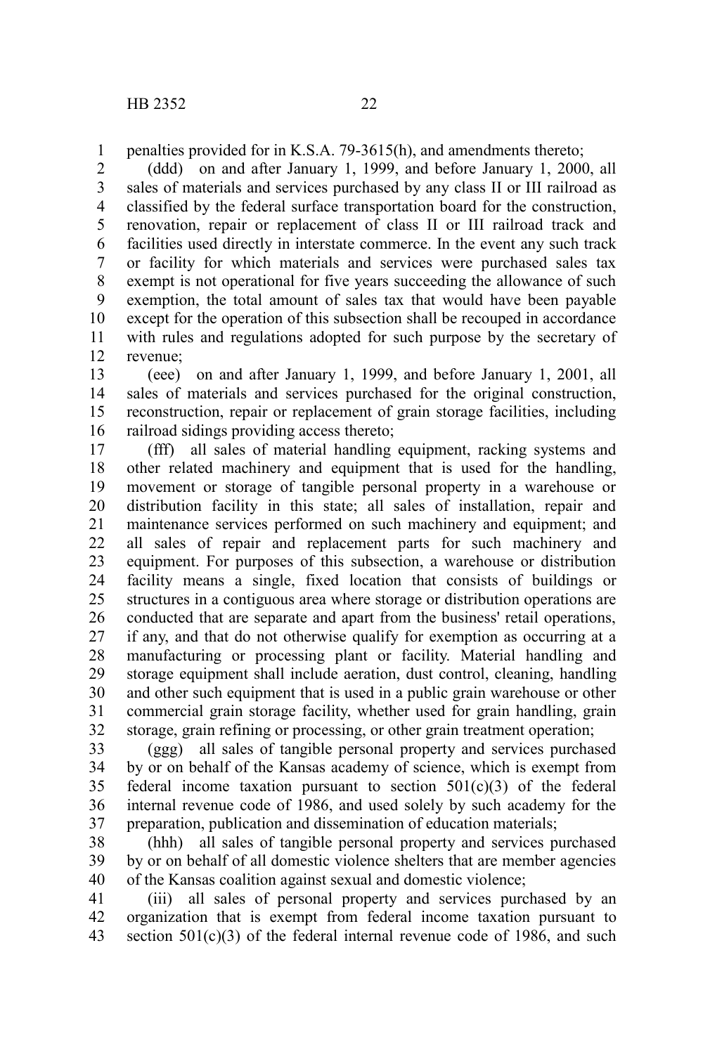penalties provided for in K.S.A. 79-3615(h), and amendments thereto; 1

(ddd) on and after January 1, 1999, and before January 1, 2000, all sales of materials and services purchased by any class II or III railroad as classified by the federal surface transportation board for the construction, renovation, repair or replacement of class II or III railroad track and facilities used directly in interstate commerce. In the event any such track or facility for which materials and services were purchased sales tax exempt is not operational for five years succeeding the allowance of such exemption, the total amount of sales tax that would have been payable except for the operation of this subsection shall be recouped in accordance with rules and regulations adopted for such purpose by the secretary of revenue; 2 3 4 5 6 7 8 9 10 11 12

(eee) on and after January 1, 1999, and before January 1, 2001, all sales of materials and services purchased for the original construction, reconstruction, repair or replacement of grain storage facilities, including railroad sidings providing access thereto; 13 14 15 16

(fff) all sales of material handling equipment, racking systems and other related machinery and equipment that is used for the handling, movement or storage of tangible personal property in a warehouse or distribution facility in this state; all sales of installation, repair and maintenance services performed on such machinery and equipment; and all sales of repair and replacement parts for such machinery and equipment. For purposes of this subsection, a warehouse or distribution facility means a single, fixed location that consists of buildings or structures in a contiguous area where storage or distribution operations are conducted that are separate and apart from the business' retail operations, if any, and that do not otherwise qualify for exemption as occurring at a manufacturing or processing plant or facility. Material handling and storage equipment shall include aeration, dust control, cleaning, handling and other such equipment that is used in a public grain warehouse or other commercial grain storage facility, whether used for grain handling, grain storage, grain refining or processing, or other grain treatment operation; 17 18 19 20 21 22 23 24 25 26 27 28 29 30 31 32

(ggg) all sales of tangible personal property and services purchased by or on behalf of the Kansas academy of science, which is exempt from federal income taxation pursuant to section  $501(c)(3)$  of the federal internal revenue code of 1986, and used solely by such academy for the preparation, publication and dissemination of education materials; 33 34 35 36 37

(hhh) all sales of tangible personal property and services purchased by or on behalf of all domestic violence shelters that are member agencies of the Kansas coalition against sexual and domestic violence; 38 39 40

(iii) all sales of personal property and services purchased by an organization that is exempt from federal income taxation pursuant to section  $501(c)(3)$  of the federal internal revenue code of 1986, and such 41 42 43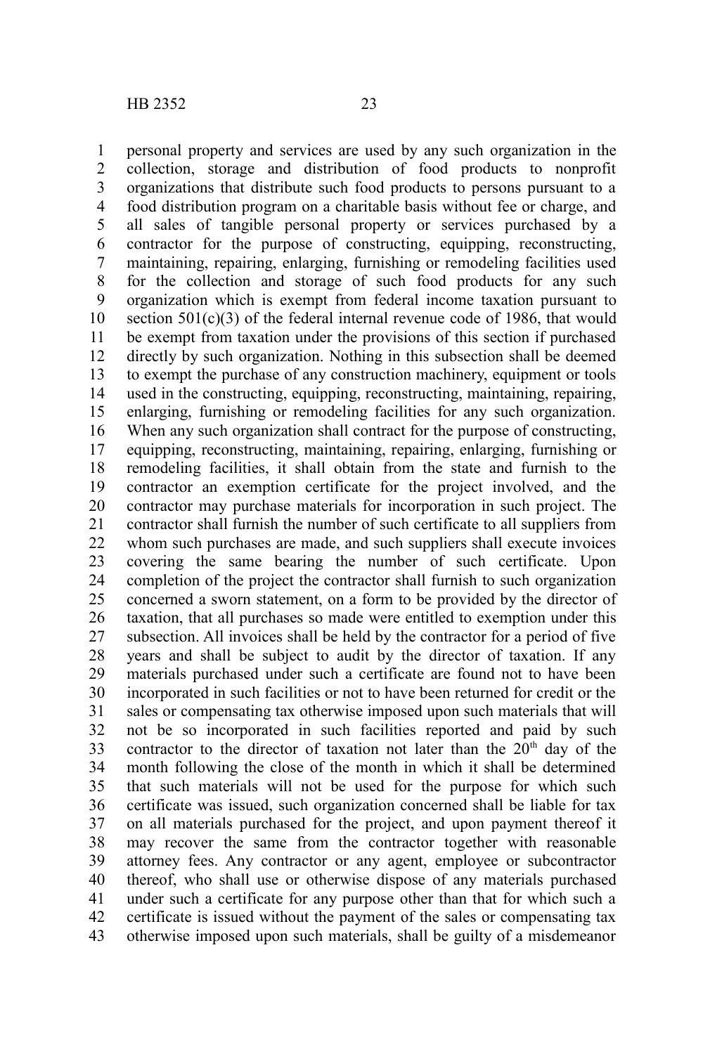personal property and services are used by any such organization in the collection, storage and distribution of food products to nonprofit organizations that distribute such food products to persons pursuant to a food distribution program on a charitable basis without fee or charge, and all sales of tangible personal property or services purchased by a contractor for the purpose of constructing, equipping, reconstructing, maintaining, repairing, enlarging, furnishing or remodeling facilities used for the collection and storage of such food products for any such organization which is exempt from federal income taxation pursuant to section  $501(c)(3)$  of the federal internal revenue code of 1986, that would be exempt from taxation under the provisions of this section if purchased directly by such organization. Nothing in this subsection shall be deemed to exempt the purchase of any construction machinery, equipment or tools used in the constructing, equipping, reconstructing, maintaining, repairing, enlarging, furnishing or remodeling facilities for any such organization. When any such organization shall contract for the purpose of constructing, equipping, reconstructing, maintaining, repairing, enlarging, furnishing or remodeling facilities, it shall obtain from the state and furnish to the contractor an exemption certificate for the project involved, and the contractor may purchase materials for incorporation in such project. The contractor shall furnish the number of such certificate to all suppliers from whom such purchases are made, and such suppliers shall execute invoices covering the same bearing the number of such certificate. Upon completion of the project the contractor shall furnish to such organization concerned a sworn statement, on a form to be provided by the director of taxation, that all purchases so made were entitled to exemption under this subsection. All invoices shall be held by the contractor for a period of five years and shall be subject to audit by the director of taxation. If any materials purchased under such a certificate are found not to have been incorporated in such facilities or not to have been returned for credit or the sales or compensating tax otherwise imposed upon such materials that will not be so incorporated in such facilities reported and paid by such contractor to the director of taxation not later than the  $20<sup>th</sup>$  day of the month following the close of the month in which it shall be determined that such materials will not be used for the purpose for which such certificate was issued, such organization concerned shall be liable for tax on all materials purchased for the project, and upon payment thereof it may recover the same from the contractor together with reasonable attorney fees. Any contractor or any agent, employee or subcontractor thereof, who shall use or otherwise dispose of any materials purchased under such a certificate for any purpose other than that for which such a certificate is issued without the payment of the sales or compensating tax otherwise imposed upon such materials, shall be guilty of a misdemeanor 1 2 3 4 5 6 7 8 9 10 11 12 13 14 15 16 17 18 19 20 21 22 23 24 25 26 27 28 29 30 31 32 33 34 35 36 37 38 39 40 41 42 43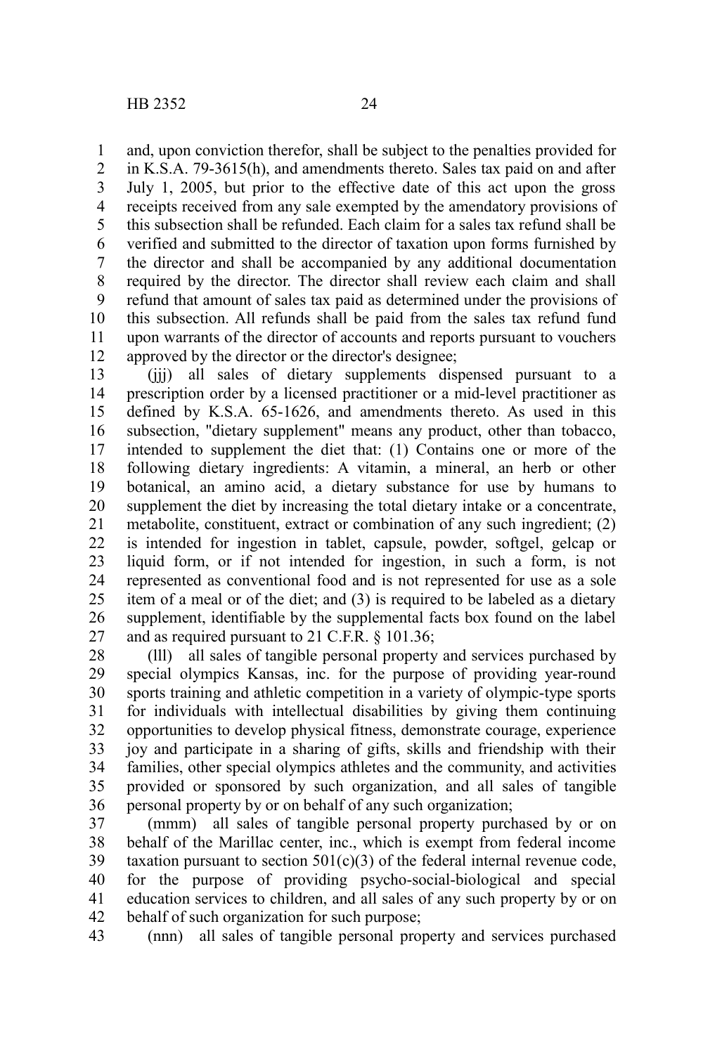and, upon conviction therefor, shall be subject to the penalties provided for 1

in K.S.A. 79-3615(h), and amendments thereto. Sales tax paid on and after July 1, 2005, but prior to the effective date of this act upon the gross receipts received from any sale exempted by the amendatory provisions of this subsection shall be refunded. Each claim for a sales tax refund shall be verified and submitted to the director of taxation upon forms furnished by the director and shall be accompanied by any additional documentation required by the director. The director shall review each claim and shall refund that amount of sales tax paid as determined under the provisions of this subsection. All refunds shall be paid from the sales tax refund fund upon warrants of the director of accounts and reports pursuant to vouchers approved by the director or the director's designee; 2 3 4 5 6 7 8 9 10 11 12

(iii) all sales of dietary supplements dispensed pursuant to a prescription order by a licensed practitioner or a mid-level practitioner as defined by K.S.A. 65-1626, and amendments thereto. As used in this subsection, "dietary supplement" means any product, other than tobacco, intended to supplement the diet that: (1) Contains one or more of the following dietary ingredients: A vitamin, a mineral, an herb or other botanical, an amino acid, a dietary substance for use by humans to supplement the diet by increasing the total dietary intake or a concentrate, metabolite, constituent, extract or combination of any such ingredient; (2) is intended for ingestion in tablet, capsule, powder, softgel, gelcap or liquid form, or if not intended for ingestion, in such a form, is not represented as conventional food and is not represented for use as a sole item of a meal or of the diet; and (3) is required to be labeled as a dietary supplement, identifiable by the supplemental facts box found on the label and as required pursuant to 21 C.F.R. § 101.36; 13 14 15 16 17 18 19 20 21 22 23 24 25 26 27

(lll) all sales of tangible personal property and services purchased by special olympics Kansas, inc. for the purpose of providing year-round sports training and athletic competition in a variety of olympic-type sports for individuals with intellectual disabilities by giving them continuing opportunities to develop physical fitness, demonstrate courage, experience joy and participate in a sharing of gifts, skills and friendship with their families, other special olympics athletes and the community, and activities provided or sponsored by such organization, and all sales of tangible personal property by or on behalf of any such organization; 28 29 30 31 32 33 34 35 36

(mmm) all sales of tangible personal property purchased by or on behalf of the Marillac center, inc., which is exempt from federal income taxation pursuant to section  $501(c)(3)$  of the federal internal revenue code, for the purpose of providing psycho-social-biological and special education services to children, and all sales of any such property by or on behalf of such organization for such purpose; 37 38 39 40 41 42

(nnn) all sales of tangible personal property and services purchased 43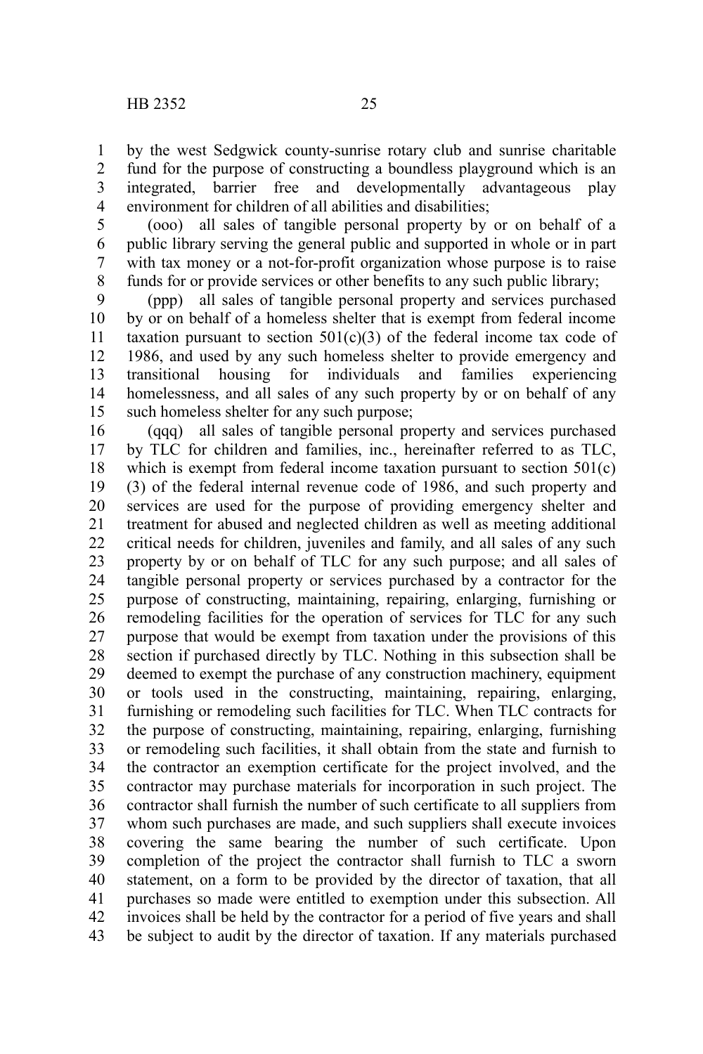by the west Sedgwick county-sunrise rotary club and sunrise charitable fund for the purpose of constructing a boundless playground which is an integrated, barrier free and developmentally advantageous play environment for children of all abilities and disabilities; 1 2 3 4

(ooo) all sales of tangible personal property by or on behalf of a public library serving the general public and supported in whole or in part with tax money or a not-for-profit organization whose purpose is to raise funds for or provide services or other benefits to any such public library; 5 6 7 8

(ppp) all sales of tangible personal property and services purchased by or on behalf of a homeless shelter that is exempt from federal income taxation pursuant to section  $501(c)(3)$  of the federal income tax code of 1986, and used by any such homeless shelter to provide emergency and transitional housing for individuals and families experiencing homelessness, and all sales of any such property by or on behalf of any such homeless shelter for any such purpose; 9 10 11 12 13 14 15

(qqq) all sales of tangible personal property and services purchased by TLC for children and families, inc., hereinafter referred to as TLC, which is exempt from federal income taxation pursuant to section 501(c) (3) of the federal internal revenue code of 1986, and such property and services are used for the purpose of providing emergency shelter and treatment for abused and neglected children as well as meeting additional critical needs for children, juveniles and family, and all sales of any such property by or on behalf of TLC for any such purpose; and all sales of tangible personal property or services purchased by a contractor for the purpose of constructing, maintaining, repairing, enlarging, furnishing or remodeling facilities for the operation of services for TLC for any such purpose that would be exempt from taxation under the provisions of this section if purchased directly by TLC. Nothing in this subsection shall be deemed to exempt the purchase of any construction machinery, equipment or tools used in the constructing, maintaining, repairing, enlarging, furnishing or remodeling such facilities for TLC. When TLC contracts for the purpose of constructing, maintaining, repairing, enlarging, furnishing or remodeling such facilities, it shall obtain from the state and furnish to the contractor an exemption certificate for the project involved, and the contractor may purchase materials for incorporation in such project. The contractor shall furnish the number of such certificate to all suppliers from whom such purchases are made, and such suppliers shall execute invoices covering the same bearing the number of such certificate. Upon completion of the project the contractor shall furnish to TLC a sworn statement, on a form to be provided by the director of taxation, that all purchases so made were entitled to exemption under this subsection. All invoices shall be held by the contractor for a period of five years and shall be subject to audit by the director of taxation. If any materials purchased 16 17 18 19 20 21 22 23 24 25 26 27 28 29 30 31 32 33 34 35 36 37 38 39 40 41 42 43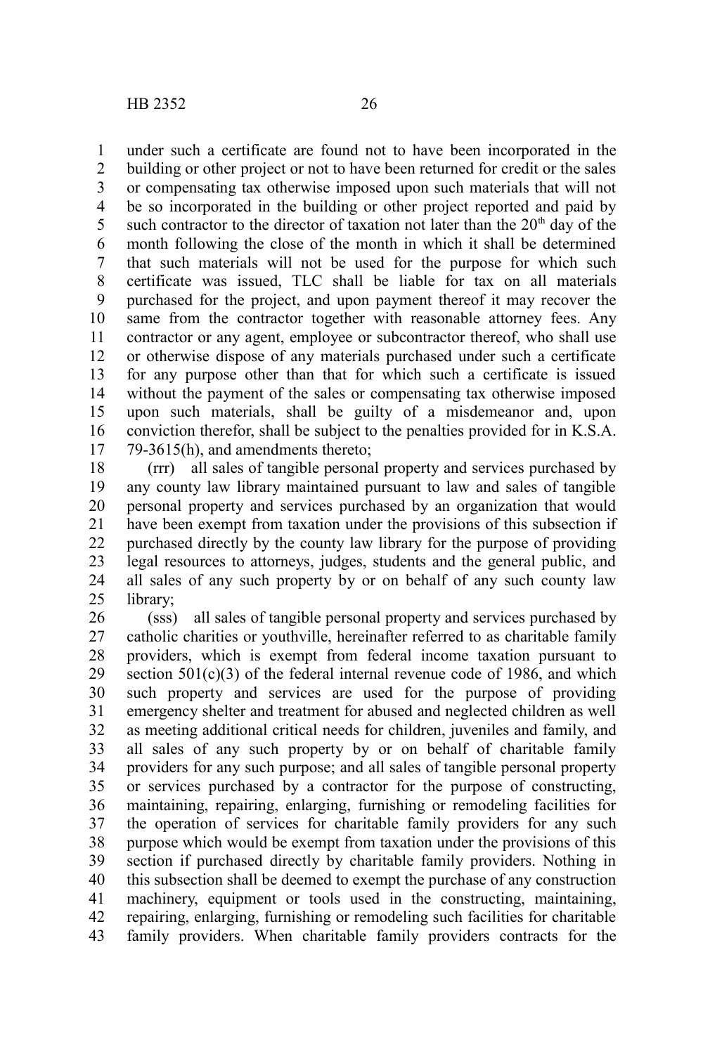under such a certificate are found not to have been incorporated in the building or other project or not to have been returned for credit or the sales or compensating tax otherwise imposed upon such materials that will not be so incorporated in the building or other project reported and paid by such contractor to the director of taxation not later than the  $20<sup>th</sup>$  day of the month following the close of the month in which it shall be determined that such materials will not be used for the purpose for which such certificate was issued, TLC shall be liable for tax on all materials purchased for the project, and upon payment thereof it may recover the same from the contractor together with reasonable attorney fees. Any contractor or any agent, employee or subcontractor thereof, who shall use or otherwise dispose of any materials purchased under such a certificate for any purpose other than that for which such a certificate is issued without the payment of the sales or compensating tax otherwise imposed upon such materials, shall be guilty of a misdemeanor and, upon conviction therefor, shall be subject to the penalties provided for in K.S.A. 79-3615(h), and amendments thereto; 1 2 3 4 5 6 7 8 9 10 11 12 13 14 15 16 17

(rrr) all sales of tangible personal property and services purchased by any county law library maintained pursuant to law and sales of tangible personal property and services purchased by an organization that would have been exempt from taxation under the provisions of this subsection if purchased directly by the county law library for the purpose of providing legal resources to attorneys, judges, students and the general public, and all sales of any such property by or on behalf of any such county law library; 18 19 20 21 22 23 24 25

(sss) all sales of tangible personal property and services purchased by catholic charities or youthville, hereinafter referred to as charitable family providers, which is exempt from federal income taxation pursuant to section  $501(c)(3)$  of the federal internal revenue code of 1986, and which such property and services are used for the purpose of providing emergency shelter and treatment for abused and neglected children as well as meeting additional critical needs for children, juveniles and family, and all sales of any such property by or on behalf of charitable family providers for any such purpose; and all sales of tangible personal property or services purchased by a contractor for the purpose of constructing, maintaining, repairing, enlarging, furnishing or remodeling facilities for the operation of services for charitable family providers for any such purpose which would be exempt from taxation under the provisions of this section if purchased directly by charitable family providers. Nothing in this subsection shall be deemed to exempt the purchase of any construction machinery, equipment or tools used in the constructing, maintaining, repairing, enlarging, furnishing or remodeling such facilities for charitable family providers. When charitable family providers contracts for the 26 27 28 29 30 31 32 33 34 35 36 37 38 39 40 41 42 43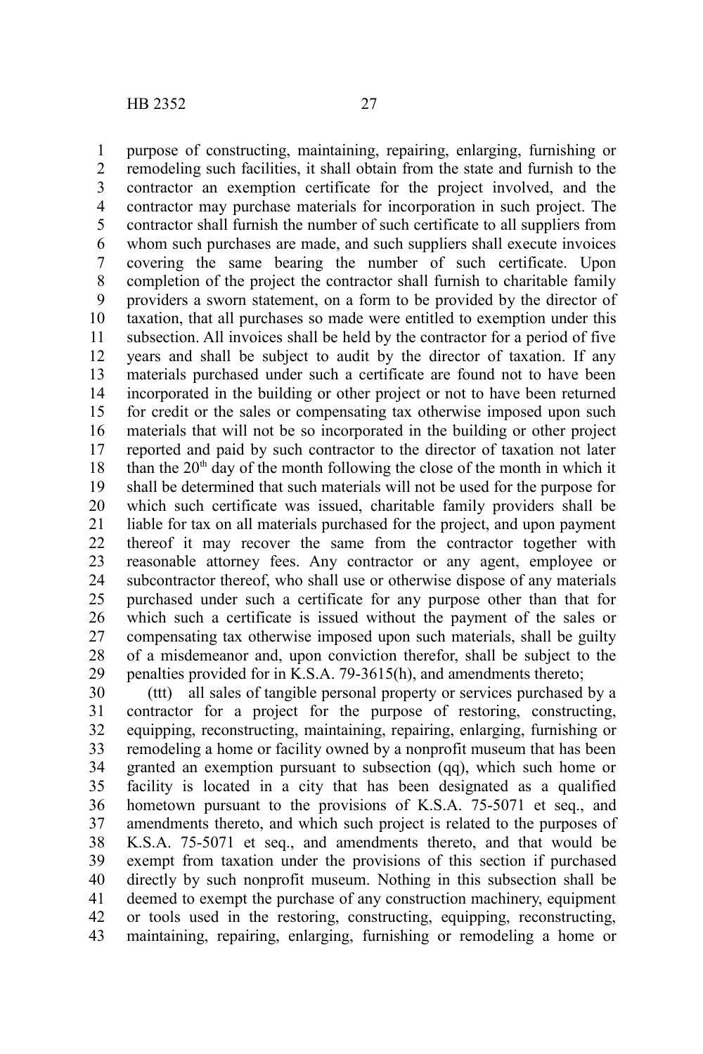purpose of constructing, maintaining, repairing, enlarging, furnishing or remodeling such facilities, it shall obtain from the state and furnish to the contractor an exemption certificate for the project involved, and the contractor may purchase materials for incorporation in such project. The contractor shall furnish the number of such certificate to all suppliers from whom such purchases are made, and such suppliers shall execute invoices covering the same bearing the number of such certificate. Upon completion of the project the contractor shall furnish to charitable family providers a sworn statement, on a form to be provided by the director of taxation, that all purchases so made were entitled to exemption under this subsection. All invoices shall be held by the contractor for a period of five years and shall be subject to audit by the director of taxation. If any materials purchased under such a certificate are found not to have been incorporated in the building or other project or not to have been returned for credit or the sales or compensating tax otherwise imposed upon such materials that will not be so incorporated in the building or other project reported and paid by such contractor to the director of taxation not later than the  $20<sup>th</sup>$  day of the month following the close of the month in which it shall be determined that such materials will not be used for the purpose for which such certificate was issued, charitable family providers shall be liable for tax on all materials purchased for the project, and upon payment thereof it may recover the same from the contractor together with reasonable attorney fees. Any contractor or any agent, employee or subcontractor thereof, who shall use or otherwise dispose of any materials purchased under such a certificate for any purpose other than that for which such a certificate is issued without the payment of the sales or compensating tax otherwise imposed upon such materials, shall be guilty of a misdemeanor and, upon conviction therefor, shall be subject to the penalties provided for in K.S.A. 79-3615(h), and amendments thereto; 1 2 3 4 5 6 7 8 9 10 11 12 13 14 15 16 17 18 19 20 21 22 23 24 25 26 27 28 29

(ttt) all sales of tangible personal property or services purchased by a contractor for a project for the purpose of restoring, constructing, equipping, reconstructing, maintaining, repairing, enlarging, furnishing or remodeling a home or facility owned by a nonprofit museum that has been granted an exemption pursuant to subsection (qq), which such home or facility is located in a city that has been designated as a qualified hometown pursuant to the provisions of K.S.A. 75-5071 et seq., and amendments thereto, and which such project is related to the purposes of K.S.A. 75-5071 et seq., and amendments thereto, and that would be exempt from taxation under the provisions of this section if purchased directly by such nonprofit museum. Nothing in this subsection shall be deemed to exempt the purchase of any construction machinery, equipment or tools used in the restoring, constructing, equipping, reconstructing, maintaining, repairing, enlarging, furnishing or remodeling a home or 30 31 32 33 34 35 36 37 38 39 40 41 42 43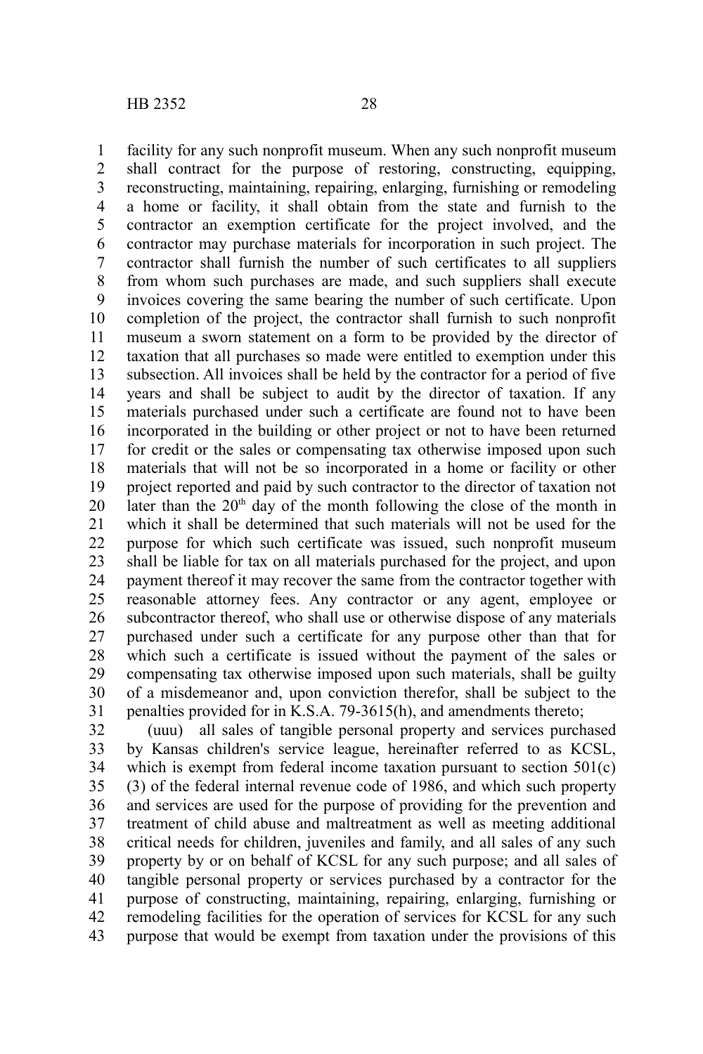facility for any such nonprofit museum. When any such nonprofit museum shall contract for the purpose of restoring, constructing, equipping, reconstructing, maintaining, repairing, enlarging, furnishing or remodeling a home or facility, it shall obtain from the state and furnish to the contractor an exemption certificate for the project involved, and the contractor may purchase materials for incorporation in such project. The contractor shall furnish the number of such certificates to all suppliers from whom such purchases are made, and such suppliers shall execute invoices covering the same bearing the number of such certificate. Upon completion of the project, the contractor shall furnish to such nonprofit museum a sworn statement on a form to be provided by the director of taxation that all purchases so made were entitled to exemption under this subsection. All invoices shall be held by the contractor for a period of five years and shall be subject to audit by the director of taxation. If any materials purchased under such a certificate are found not to have been incorporated in the building or other project or not to have been returned for credit or the sales or compensating tax otherwise imposed upon such materials that will not be so incorporated in a home or facility or other project reported and paid by such contractor to the director of taxation not later than the  $20<sup>th</sup>$  day of the month following the close of the month in which it shall be determined that such materials will not be used for the purpose for which such certificate was issued, such nonprofit museum shall be liable for tax on all materials purchased for the project, and upon payment thereof it may recover the same from the contractor together with reasonable attorney fees. Any contractor or any agent, employee or subcontractor thereof, who shall use or otherwise dispose of any materials purchased under such a certificate for any purpose other than that for which such a certificate is issued without the payment of the sales or compensating tax otherwise imposed upon such materials, shall be guilty of a misdemeanor and, upon conviction therefor, shall be subject to the penalties provided for in K.S.A. 79-3615(h), and amendments thereto; 1 2 3 4 5 6 7 8 9 10 11 12 13 14 15 16 17 18 19 20 21 22 23 24 25 26 27 28 29 30 31

(uuu) all sales of tangible personal property and services purchased by Kansas children's service league, hereinafter referred to as KCSL, which is exempt from federal income taxation pursuant to section 501(c) (3) of the federal internal revenue code of 1986, and which such property and services are used for the purpose of providing for the prevention and treatment of child abuse and maltreatment as well as meeting additional critical needs for children, juveniles and family, and all sales of any such property by or on behalf of KCSL for any such purpose; and all sales of tangible personal property or services purchased by a contractor for the purpose of constructing, maintaining, repairing, enlarging, furnishing or remodeling facilities for the operation of services for KCSL for any such purpose that would be exempt from taxation under the provisions of this 32 33 34 35 36 37 38 39 40 41 42 43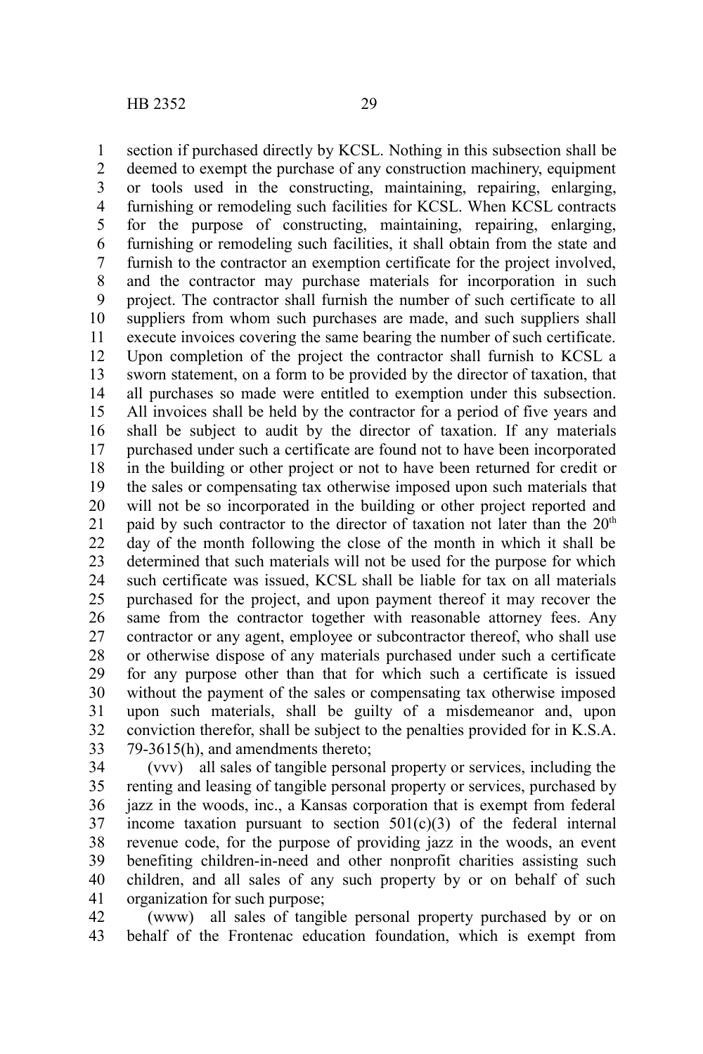section if purchased directly by KCSL. Nothing in this subsection shall be deemed to exempt the purchase of any construction machinery, equipment or tools used in the constructing, maintaining, repairing, enlarging, furnishing or remodeling such facilities for KCSL. When KCSL contracts for the purpose of constructing, maintaining, repairing, enlarging, furnishing or remodeling such facilities, it shall obtain from the state and furnish to the contractor an exemption certificate for the project involved, and the contractor may purchase materials for incorporation in such project. The contractor shall furnish the number of such certificate to all suppliers from whom such purchases are made, and such suppliers shall execute invoices covering the same bearing the number of such certificate. Upon completion of the project the contractor shall furnish to KCSL a sworn statement, on a form to be provided by the director of taxation, that all purchases so made were entitled to exemption under this subsection. All invoices shall be held by the contractor for a period of five years and shall be subject to audit by the director of taxation. If any materials purchased under such a certificate are found not to have been incorporated in the building or other project or not to have been returned for credit or the sales or compensating tax otherwise imposed upon such materials that will not be so incorporated in the building or other project reported and paid by such contractor to the director of taxation not later than the  $20<sup>th</sup>$ day of the month following the close of the month in which it shall be determined that such materials will not be used for the purpose for which such certificate was issued, KCSL shall be liable for tax on all materials purchased for the project, and upon payment thereof it may recover the same from the contractor together with reasonable attorney fees. Any contractor or any agent, employee or subcontractor thereof, who shall use or otherwise dispose of any materials purchased under such a certificate for any purpose other than that for which such a certificate is issued without the payment of the sales or compensating tax otherwise imposed upon such materials, shall be guilty of a misdemeanor and, upon conviction therefor, shall be subject to the penalties provided for in K.S.A. 79-3615(h), and amendments thereto; 1 2 3 4 5 6 7 8 9 10 11 12 13 14 15 16 17 18 19 20 21 22 23 24 25 26 27 28 29 30 31 32 33

(vvv) all sales of tangible personal property or services, including the renting and leasing of tangible personal property or services, purchased by jazz in the woods, inc., a Kansas corporation that is exempt from federal income taxation pursuant to section  $501(c)(3)$  of the federal internal revenue code, for the purpose of providing jazz in the woods, an event benefiting children-in-need and other nonprofit charities assisting such children, and all sales of any such property by or on behalf of such organization for such purpose; 34 35 36 37 38 39 40 41

(www) all sales of tangible personal property purchased by or on behalf of the Frontenac education foundation, which is exempt from 42 43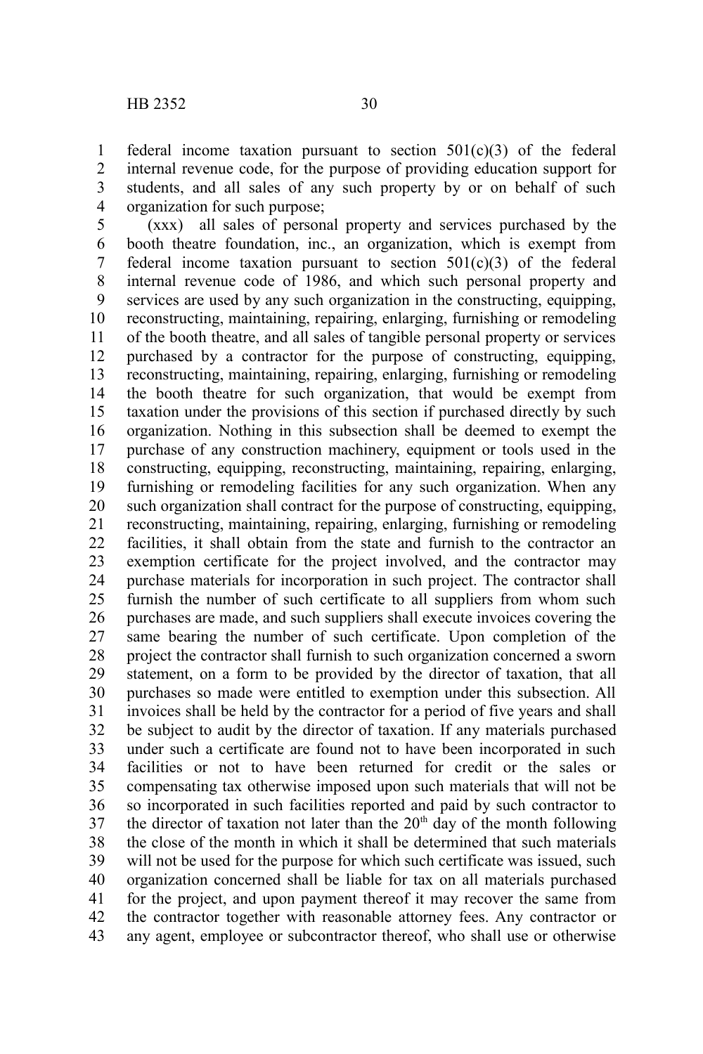federal income taxation pursuant to section 501(c)(3) of the federal internal revenue code, for the purpose of providing education support for students, and all sales of any such property by or on behalf of such organization for such purpose; 1 2 3 4

(xxx) all sales of personal property and services purchased by the booth theatre foundation, inc., an organization, which is exempt from federal income taxation pursuant to section  $501(c)(3)$  of the federal internal revenue code of 1986, and which such personal property and services are used by any such organization in the constructing, equipping, reconstructing, maintaining, repairing, enlarging, furnishing or remodeling of the booth theatre, and all sales of tangible personal property or services purchased by a contractor for the purpose of constructing, equipping, reconstructing, maintaining, repairing, enlarging, furnishing or remodeling the booth theatre for such organization, that would be exempt from taxation under the provisions of this section if purchased directly by such organization. Nothing in this subsection shall be deemed to exempt the purchase of any construction machinery, equipment or tools used in the constructing, equipping, reconstructing, maintaining, repairing, enlarging, furnishing or remodeling facilities for any such organization. When any such organization shall contract for the purpose of constructing, equipping, reconstructing, maintaining, repairing, enlarging, furnishing or remodeling facilities, it shall obtain from the state and furnish to the contractor an exemption certificate for the project involved, and the contractor may purchase materials for incorporation in such project. The contractor shall furnish the number of such certificate to all suppliers from whom such purchases are made, and such suppliers shall execute invoices covering the same bearing the number of such certificate. Upon completion of the project the contractor shall furnish to such organization concerned a sworn statement, on a form to be provided by the director of taxation, that all purchases so made were entitled to exemption under this subsection. All invoices shall be held by the contractor for a period of five years and shall be subject to audit by the director of taxation. If any materials purchased under such a certificate are found not to have been incorporated in such facilities or not to have been returned for credit or the sales or compensating tax otherwise imposed upon such materials that will not be so incorporated in such facilities reported and paid by such contractor to the director of taxation not later than the  $20<sup>th</sup>$  day of the month following the close of the month in which it shall be determined that such materials will not be used for the purpose for which such certificate was issued, such organization concerned shall be liable for tax on all materials purchased for the project, and upon payment thereof it may recover the same from the contractor together with reasonable attorney fees. Any contractor or any agent, employee or subcontractor thereof, who shall use or otherwise 5 6 7 8 9 10 11 12 13 14 15 16 17 18 19 20 21 22 23 24 25 26 27 28 29 30 31 32 33 34 35 36 37 38 39 40 41 42 43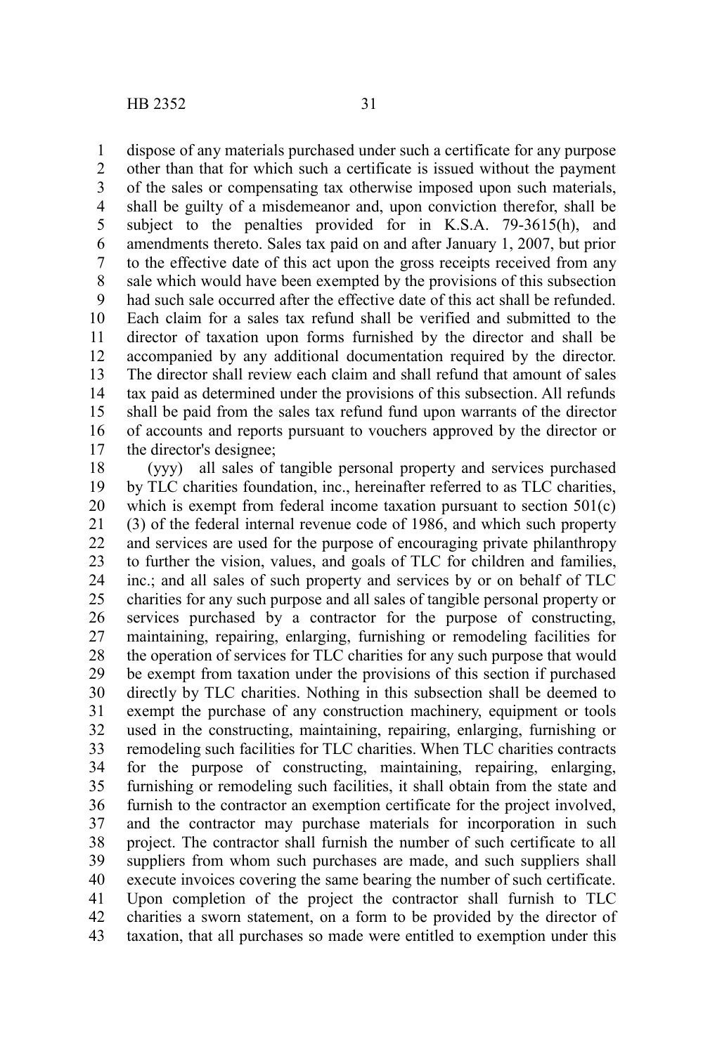dispose of any materials purchased under such a certificate for any purpose 1

other than that for which such a certificate is issued without the payment of the sales or compensating tax otherwise imposed upon such materials, shall be guilty of a misdemeanor and, upon conviction therefor, shall be subject to the penalties provided for in K.S.A. 79-3615(h), and amendments thereto. Sales tax paid on and after January 1, 2007, but prior to the effective date of this act upon the gross receipts received from any sale which would have been exempted by the provisions of this subsection had such sale occurred after the effective date of this act shall be refunded. Each claim for a sales tax refund shall be verified and submitted to the director of taxation upon forms furnished by the director and shall be accompanied by any additional documentation required by the director. The director shall review each claim and shall refund that amount of sales tax paid as determined under the provisions of this subsection. All refunds shall be paid from the sales tax refund fund upon warrants of the director of accounts and reports pursuant to vouchers approved by the director or the director's designee; 2 3 4 5 6 7 8 9 10 11 12 13 14 15 16 17

(yyy) all sales of tangible personal property and services purchased by TLC charities foundation, inc., hereinafter referred to as TLC charities, which is exempt from federal income taxation pursuant to section  $501(c)$ (3) of the federal internal revenue code of 1986, and which such property and services are used for the purpose of encouraging private philanthropy to further the vision, values, and goals of TLC for children and families, inc.; and all sales of such property and services by or on behalf of TLC charities for any such purpose and all sales of tangible personal property or services purchased by a contractor for the purpose of constructing, maintaining, repairing, enlarging, furnishing or remodeling facilities for the operation of services for TLC charities for any such purpose that would be exempt from taxation under the provisions of this section if purchased directly by TLC charities. Nothing in this subsection shall be deemed to exempt the purchase of any construction machinery, equipment or tools used in the constructing, maintaining, repairing, enlarging, furnishing or remodeling such facilities for TLC charities. When TLC charities contracts for the purpose of constructing, maintaining, repairing, enlarging, furnishing or remodeling such facilities, it shall obtain from the state and furnish to the contractor an exemption certificate for the project involved, and the contractor may purchase materials for incorporation in such project. The contractor shall furnish the number of such certificate to all suppliers from whom such purchases are made, and such suppliers shall execute invoices covering the same bearing the number of such certificate. Upon completion of the project the contractor shall furnish to TLC charities a sworn statement, on a form to be provided by the director of taxation, that all purchases so made were entitled to exemption under this 18 19 20 21 22 23 24 25 26 27 28 29 30 31 32 33 34 35 36 37 38 39 40 41 42 43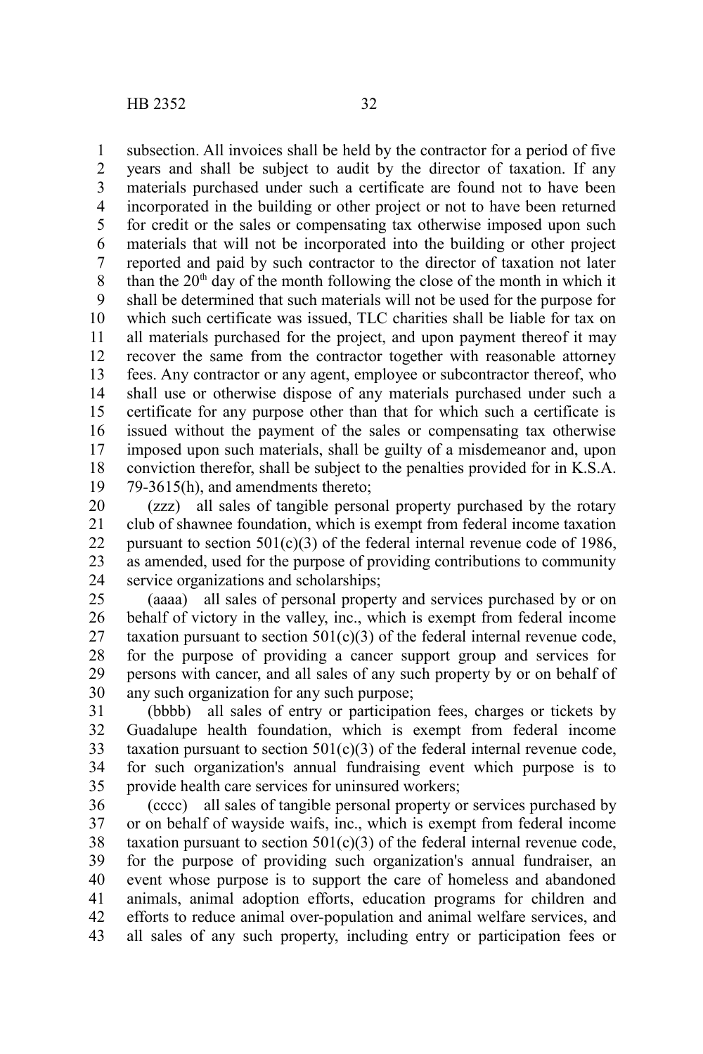subsection. All invoices shall be held by the contractor for a period of five years and shall be subject to audit by the director of taxation. If any materials purchased under such a certificate are found not to have been incorporated in the building or other project or not to have been returned for credit or the sales or compensating tax otherwise imposed upon such materials that will not be incorporated into the building or other project reported and paid by such contractor to the director of taxation not later than the  $20<sup>th</sup>$  day of the month following the close of the month in which it shall be determined that such materials will not be used for the purpose for which such certificate was issued, TLC charities shall be liable for tax on all materials purchased for the project, and upon payment thereof it may recover the same from the contractor together with reasonable attorney fees. Any contractor or any agent, employee or subcontractor thereof, who shall use or otherwise dispose of any materials purchased under such a certificate for any purpose other than that for which such a certificate is issued without the payment of the sales or compensating tax otherwise imposed upon such materials, shall be guilty of a misdemeanor and, upon conviction therefor, shall be subject to the penalties provided for in K.S.A. 79-3615(h), and amendments thereto; 1 2 3 4 5 6 7 8 9 10 11 12 13 14 15 16 17 18 19

(zzz) all sales of tangible personal property purchased by the rotary club of shawnee foundation, which is exempt from federal income taxation pursuant to section  $501(c)(3)$  of the federal internal revenue code of 1986, as amended, used for the purpose of providing contributions to community service organizations and scholarships; 20 21 22 23 24

(aaaa) all sales of personal property and services purchased by or on behalf of victory in the valley, inc., which is exempt from federal income taxation pursuant to section  $501(c)(3)$  of the federal internal revenue code, for the purpose of providing a cancer support group and services for persons with cancer, and all sales of any such property by or on behalf of any such organization for any such purpose; 25 26 27 28 29 30

(bbbb) all sales of entry or participation fees, charges or tickets by Guadalupe health foundation, which is exempt from federal income taxation pursuant to section  $501(c)(3)$  of the federal internal revenue code, for such organization's annual fundraising event which purpose is to provide health care services for uninsured workers; 31 32 33 34 35

(cccc) all sales of tangible personal property or services purchased by or on behalf of wayside waifs, inc., which is exempt from federal income taxation pursuant to section  $501(c)(3)$  of the federal internal revenue code, for the purpose of providing such organization's annual fundraiser, an event whose purpose is to support the care of homeless and abandoned animals, animal adoption efforts, education programs for children and efforts to reduce animal over-population and animal welfare services, and all sales of any such property, including entry or participation fees or 36 37 38 39 40 41 42 43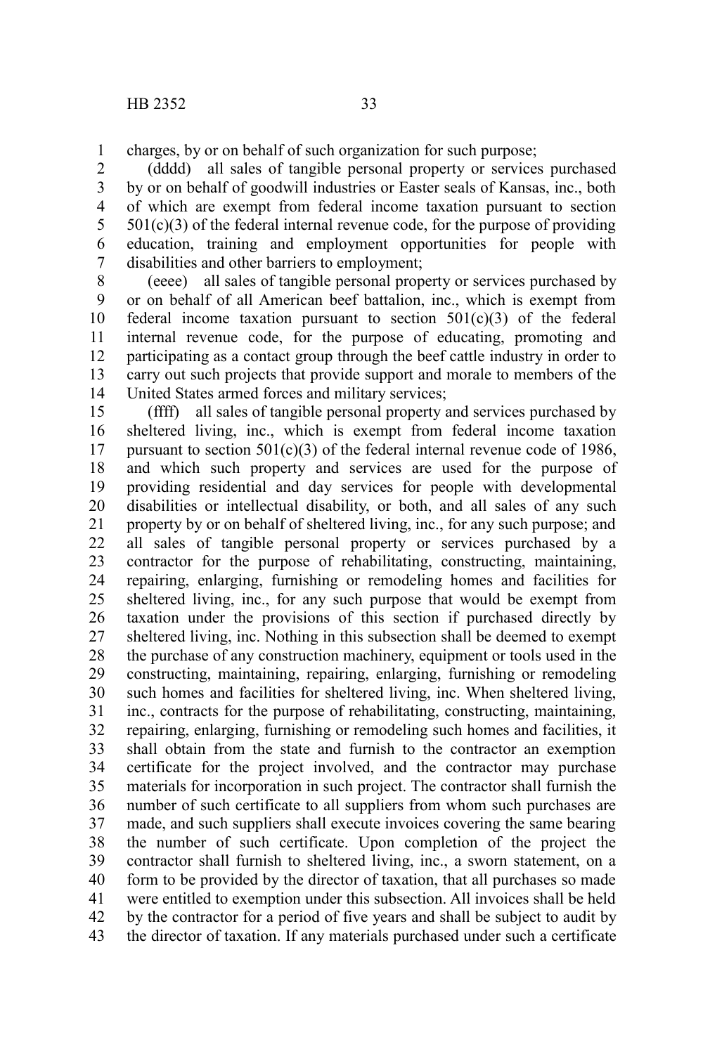charges, by or on behalf of such organization for such purpose; 1

(dddd) all sales of tangible personal property or services purchased by or on behalf of goodwill industries or Easter seals of Kansas, inc., both of which are exempt from federal income taxation pursuant to section  $501(c)(3)$  of the federal internal revenue code, for the purpose of providing education, training and employment opportunities for people with disabilities and other barriers to employment; 2 3 4 5 6 7

(eeee) all sales of tangible personal property or services purchased by or on behalf of all American beef battalion, inc., which is exempt from federal income taxation pursuant to section  $501(c)(3)$  of the federal internal revenue code, for the purpose of educating, promoting and participating as a contact group through the beef cattle industry in order to carry out such projects that provide support and morale to members of the United States armed forces and military services; 8 9 10 11 12 13 14

(ffff) all sales of tangible personal property and services purchased by sheltered living, inc., which is exempt from federal income taxation pursuant to section  $501(c)(3)$  of the federal internal revenue code of 1986. and which such property and services are used for the purpose of providing residential and day services for people with developmental disabilities or intellectual disability, or both, and all sales of any such property by or on behalf of sheltered living, inc., for any such purpose; and all sales of tangible personal property or services purchased by a contractor for the purpose of rehabilitating, constructing, maintaining, repairing, enlarging, furnishing or remodeling homes and facilities for sheltered living, inc., for any such purpose that would be exempt from taxation under the provisions of this section if purchased directly by sheltered living, inc. Nothing in this subsection shall be deemed to exempt the purchase of any construction machinery, equipment or tools used in the constructing, maintaining, repairing, enlarging, furnishing or remodeling such homes and facilities for sheltered living, inc. When sheltered living, inc., contracts for the purpose of rehabilitating, constructing, maintaining, repairing, enlarging, furnishing or remodeling such homes and facilities, it shall obtain from the state and furnish to the contractor an exemption certificate for the project involved, and the contractor may purchase materials for incorporation in such project. The contractor shall furnish the number of such certificate to all suppliers from whom such purchases are made, and such suppliers shall execute invoices covering the same bearing the number of such certificate. Upon completion of the project the contractor shall furnish to sheltered living, inc., a sworn statement, on a form to be provided by the director of taxation, that all purchases so made were entitled to exemption under this subsection. All invoices shall be held by the contractor for a period of five years and shall be subject to audit by the director of taxation. If any materials purchased under such a certificate 15 16 17 18 19 20 21 22 23 24 25 26 27 28 29 30 31 32 33 34 35 36 37 38 39 40 41 42 43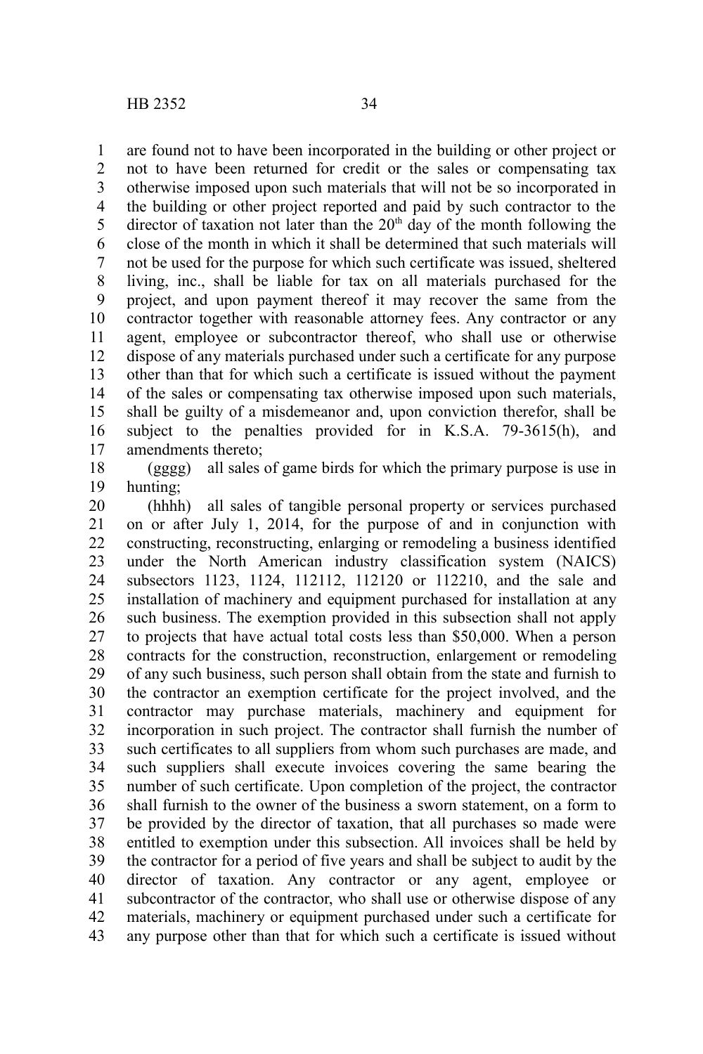are found not to have been incorporated in the building or other project or not to have been returned for credit or the sales or compensating tax otherwise imposed upon such materials that will not be so incorporated in the building or other project reported and paid by such contractor to the director of taxation not later than the  $20<sup>th</sup>$  day of the month following the close of the month in which it shall be determined that such materials will not be used for the purpose for which such certificate was issued, sheltered living, inc., shall be liable for tax on all materials purchased for the project, and upon payment thereof it may recover the same from the contractor together with reasonable attorney fees. Any contractor or any agent, employee or subcontractor thereof, who shall use or otherwise dispose of any materials purchased under such a certificate for any purpose other than that for which such a certificate is issued without the payment of the sales or compensating tax otherwise imposed upon such materials, shall be guilty of a misdemeanor and, upon conviction therefor, shall be subject to the penalties provided for in K.S.A. 79-3615(h), and amendments thereto; 1 2 3 4 5 6 7 8 9 10 11 12 13 14 15 16 17

(gggg) all sales of game birds for which the primary purpose is use in hunting; 18 19

(hhhh) all sales of tangible personal property or services purchased on or after July 1, 2014, for the purpose of and in conjunction with constructing, reconstructing, enlarging or remodeling a business identified under the North American industry classification system (NAICS) subsectors 1123, 1124, 112112, 112120 or 112210, and the sale and installation of machinery and equipment purchased for installation at any such business. The exemption provided in this subsection shall not apply to projects that have actual total costs less than \$50,000. When a person contracts for the construction, reconstruction, enlargement or remodeling of any such business, such person shall obtain from the state and furnish to the contractor an exemption certificate for the project involved, and the contractor may purchase materials, machinery and equipment for incorporation in such project. The contractor shall furnish the number of such certificates to all suppliers from whom such purchases are made, and such suppliers shall execute invoices covering the same bearing the number of such certificate. Upon completion of the project, the contractor shall furnish to the owner of the business a sworn statement, on a form to be provided by the director of taxation, that all purchases so made were entitled to exemption under this subsection. All invoices shall be held by the contractor for a period of five years and shall be subject to audit by the director of taxation. Any contractor or any agent, employee or subcontractor of the contractor, who shall use or otherwise dispose of any materials, machinery or equipment purchased under such a certificate for any purpose other than that for which such a certificate is issued without 20 21 22 23 24 25 26 27 28 29 30 31 32 33 34 35 36 37 38 39 40 41 42 43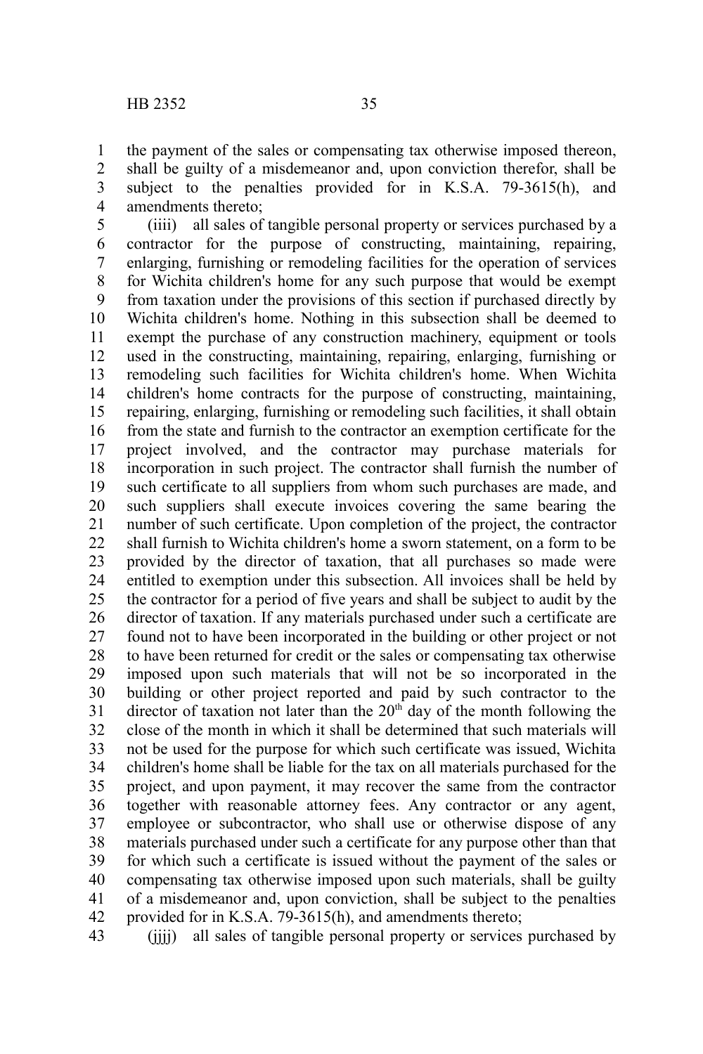the payment of the sales or compensating tax otherwise imposed thereon, shall be guilty of a misdemeanor and, upon conviction therefor, shall be subject to the penalties provided for in K.S.A. 79-3615(h), and amendments thereto; 1 2 3 4

(iiii) all sales of tangible personal property or services purchased by a contractor for the purpose of constructing, maintaining, repairing, enlarging, furnishing or remodeling facilities for the operation of services for Wichita children's home for any such purpose that would be exempt from taxation under the provisions of this section if purchased directly by Wichita children's home. Nothing in this subsection shall be deemed to exempt the purchase of any construction machinery, equipment or tools used in the constructing, maintaining, repairing, enlarging, furnishing or remodeling such facilities for Wichita children's home. When Wichita children's home contracts for the purpose of constructing, maintaining, repairing, enlarging, furnishing or remodeling such facilities, it shall obtain from the state and furnish to the contractor an exemption certificate for the project involved, and the contractor may purchase materials for incorporation in such project. The contractor shall furnish the number of such certificate to all suppliers from whom such purchases are made, and such suppliers shall execute invoices covering the same bearing the number of such certificate. Upon completion of the project, the contractor shall furnish to Wichita children's home a sworn statement, on a form to be provided by the director of taxation, that all purchases so made were entitled to exemption under this subsection. All invoices shall be held by the contractor for a period of five years and shall be subject to audit by the director of taxation. If any materials purchased under such a certificate are found not to have been incorporated in the building or other project or not to have been returned for credit or the sales or compensating tax otherwise imposed upon such materials that will not be so incorporated in the building or other project reported and paid by such contractor to the director of taxation not later than the  $20<sup>th</sup>$  day of the month following the close of the month in which it shall be determined that such materials will not be used for the purpose for which such certificate was issued, Wichita children's home shall be liable for the tax on all materials purchased for the project, and upon payment, it may recover the same from the contractor together with reasonable attorney fees. Any contractor or any agent, employee or subcontractor, who shall use or otherwise dispose of any materials purchased under such a certificate for any purpose other than that for which such a certificate is issued without the payment of the sales or compensating tax otherwise imposed upon such materials, shall be guilty of a misdemeanor and, upon conviction, shall be subject to the penalties provided for in K.S.A. 79-3615(h), and amendments thereto; 5 6 7 8 9 10 11 12 13 14 15 16 17 18 19 20 21 22 23 24 25 26 27 28 29 30 31 32 33 34 35 36 37 38 39 40 41 42

(iiii) all sales of tangible personal property or services purchased by 43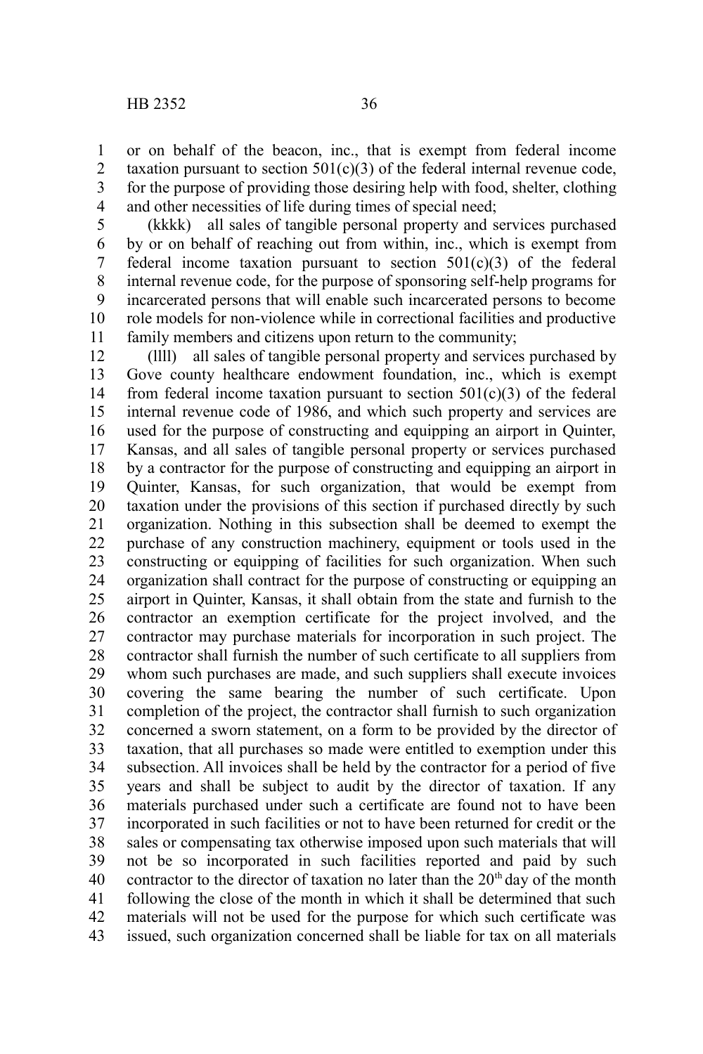1 2 3 or on behalf of the beacon, inc., that is exempt from federal income taxation pursuant to section  $501(c)(3)$  of the federal internal revenue code, for the purpose of providing those desiring help with food, shelter, clothing

and other necessities of life during times of special need; 4

(kkkk) all sales of tangible personal property and services purchased by or on behalf of reaching out from within, inc., which is exempt from federal income taxation pursuant to section  $501(c)(3)$  of the federal internal revenue code, for the purpose of sponsoring self-help programs for incarcerated persons that will enable such incarcerated persons to become role models for non-violence while in correctional facilities and productive family members and citizens upon return to the community; 5 6 7 8 9 10 11

(llll) all sales of tangible personal property and services purchased by Gove county healthcare endowment foundation, inc., which is exempt from federal income taxation pursuant to section  $501(c)(3)$  of the federal internal revenue code of 1986, and which such property and services are used for the purpose of constructing and equipping an airport in Quinter, Kansas, and all sales of tangible personal property or services purchased by a contractor for the purpose of constructing and equipping an airport in Quinter, Kansas, for such organization, that would be exempt from taxation under the provisions of this section if purchased directly by such organization. Nothing in this subsection shall be deemed to exempt the purchase of any construction machinery, equipment or tools used in the constructing or equipping of facilities for such organization. When such organization shall contract for the purpose of constructing or equipping an airport in Quinter, Kansas, it shall obtain from the state and furnish to the contractor an exemption certificate for the project involved, and the contractor may purchase materials for incorporation in such project. The contractor shall furnish the number of such certificate to all suppliers from whom such purchases are made, and such suppliers shall execute invoices covering the same bearing the number of such certificate. Upon completion of the project, the contractor shall furnish to such organization concerned a sworn statement, on a form to be provided by the director of taxation, that all purchases so made were entitled to exemption under this subsection. All invoices shall be held by the contractor for a period of five years and shall be subject to audit by the director of taxation. If any materials purchased under such a certificate are found not to have been incorporated in such facilities or not to have been returned for credit or the sales or compensating tax otherwise imposed upon such materials that will not be so incorporated in such facilities reported and paid by such contractor to the director of taxation no later than the  $20<sup>th</sup>$  day of the month following the close of the month in which it shall be determined that such materials will not be used for the purpose for which such certificate was issued, such organization concerned shall be liable for tax on all materials 12 13 14 15 16 17 18 19 20 21 22 23 24 25 26 27 28 29 30 31 32 33 34 35 36 37 38 39 40 41 42 43